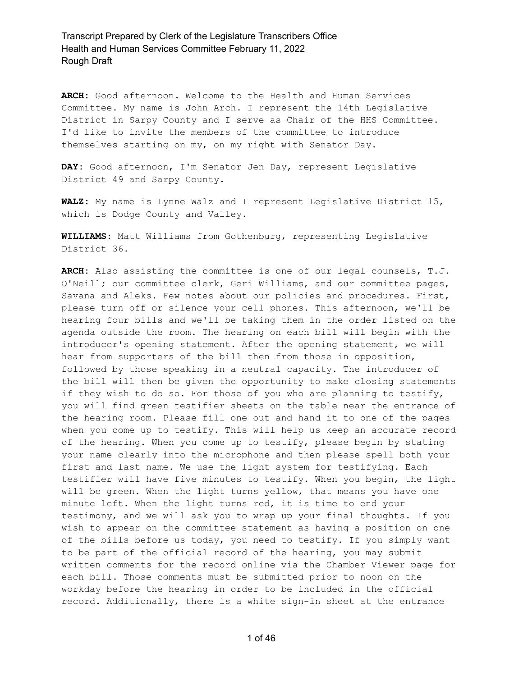**ARCH:** Good afternoon. Welcome to the Health and Human Services Committee. My name is John Arch. I represent the 14th Legislative District in Sarpy County and I serve as Chair of the HHS Committee. I'd like to invite the members of the committee to introduce themselves starting on my, on my right with Senator Day.

**DAY:** Good afternoon, I'm Senator Jen Day, represent Legislative District 49 and Sarpy County.

**WALZ:** My name is Lynne Walz and I represent Legislative District 15, which is Dodge County and Valley.

**WILLIAMS:** Matt Williams from Gothenburg, representing Legislative District 36.

**ARCH:** Also assisting the committee is one of our legal counsels, T.J. O'Neill; our committee clerk, Geri Williams, and our committee pages, Savana and Aleks. Few notes about our policies and procedures. First, please turn off or silence your cell phones. This afternoon, we'll be hearing four bills and we'll be taking them in the order listed on the agenda outside the room. The hearing on each bill will begin with the introducer's opening statement. After the opening statement, we will hear from supporters of the bill then from those in opposition, followed by those speaking in a neutral capacity. The introducer of the bill will then be given the opportunity to make closing statements if they wish to do so. For those of you who are planning to testify, you will find green testifier sheets on the table near the entrance of the hearing room. Please fill one out and hand it to one of the pages when you come up to testify. This will help us keep an accurate record of the hearing. When you come up to testify, please begin by stating your name clearly into the microphone and then please spell both your first and last name. We use the light system for testifying. Each testifier will have five minutes to testify. When you begin, the light will be green. When the light turns yellow, that means you have one minute left. When the light turns red, it is time to end your testimony, and we will ask you to wrap up your final thoughts. If you wish to appear on the committee statement as having a position on one of the bills before us today, you need to testify. If you simply want to be part of the official record of the hearing, you may submit written comments for the record online via the Chamber Viewer page for each bill. Those comments must be submitted prior to noon on the workday before the hearing in order to be included in the official record. Additionally, there is a white sign-in sheet at the entrance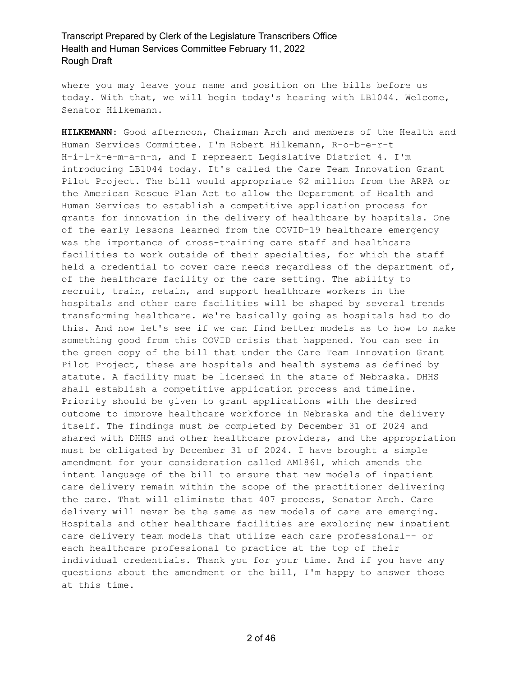where you may leave your name and position on the bills before us today. With that, we will begin today's hearing with LB1044. Welcome, Senator Hilkemann.

**HILKEMANN:** Good afternoon, Chairman Arch and members of the Health and Human Services Committee. I'm Robert Hilkemann, R-o-b-e-r-t H-i-l-k-e-m-a-n-n, and I represent Legislative District 4. I'm introducing LB1044 today. It's called the Care Team Innovation Grant Pilot Project. The bill would appropriate \$2 million from the ARPA or the American Rescue Plan Act to allow the Department of Health and Human Services to establish a competitive application process for grants for innovation in the delivery of healthcare by hospitals. One of the early lessons learned from the COVID-19 healthcare emergency was the importance of cross-training care staff and healthcare facilities to work outside of their specialties, for which the staff held a credential to cover care needs regardless of the department of, of the healthcare facility or the care setting. The ability to recruit, train, retain, and support healthcare workers in the hospitals and other care facilities will be shaped by several trends transforming healthcare. We're basically going as hospitals had to do this. And now let's see if we can find better models as to how to make something good from this COVID crisis that happened. You can see in the green copy of the bill that under the Care Team Innovation Grant Pilot Project, these are hospitals and health systems as defined by statute. A facility must be licensed in the state of Nebraska. DHHS shall establish a competitive application process and timeline. Priority should be given to grant applications with the desired outcome to improve healthcare workforce in Nebraska and the delivery itself. The findings must be completed by December 31 of 2024 and shared with DHHS and other healthcare providers, and the appropriation must be obligated by December 31 of 2024. I have brought a simple amendment for your consideration called AM1861, which amends the intent language of the bill to ensure that new models of inpatient care delivery remain within the scope of the practitioner delivering the care. That will eliminate that 407 process, Senator Arch. Care delivery will never be the same as new models of care are emerging. Hospitals and other healthcare facilities are exploring new inpatient care delivery team models that utilize each care professional-- or each healthcare professional to practice at the top of their individual credentials. Thank you for your time. And if you have any questions about the amendment or the bill, I'm happy to answer those at this time.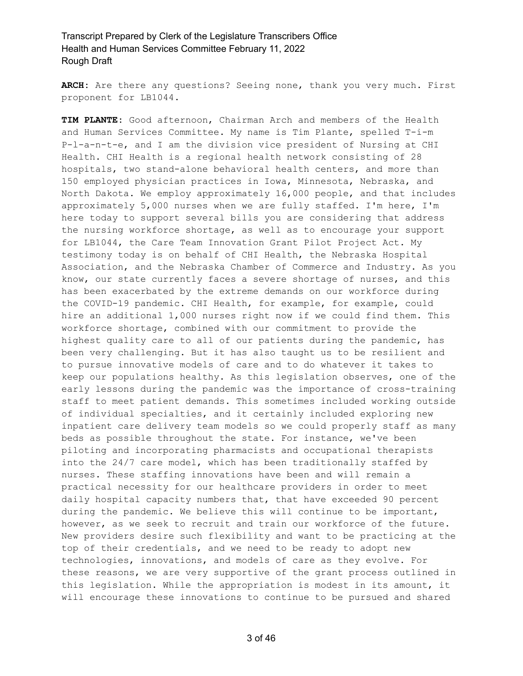**ARCH:** Are there any questions? Seeing none, thank you very much. First proponent for LB1044.

**TIM PLANTE:** Good afternoon, Chairman Arch and members of the Health and Human Services Committee. My name is Tim Plante, spelled T-i-m P-l-a-n-t-e, and I am the division vice president of Nursing at CHI Health. CHI Health is a regional health network consisting of 28 hospitals, two stand-alone behavioral health centers, and more than 150 employed physician practices in Iowa, Minnesota, Nebraska, and North Dakota. We employ approximately 16,000 people, and that includes approximately 5,000 nurses when we are fully staffed. I'm here, I'm here today to support several bills you are considering that address the nursing workforce shortage, as well as to encourage your support for LB1044, the Care Team Innovation Grant Pilot Project Act. My testimony today is on behalf of CHI Health, the Nebraska Hospital Association, and the Nebraska Chamber of Commerce and Industry. As you know, our state currently faces a severe shortage of nurses, and this has been exacerbated by the extreme demands on our workforce during the COVID-19 pandemic. CHI Health, for example, for example, could hire an additional 1,000 nurses right now if we could find them. This workforce shortage, combined with our commitment to provide the highest quality care to all of our patients during the pandemic, has been very challenging. But it has also taught us to be resilient and to pursue innovative models of care and to do whatever it takes to keep our populations healthy. As this legislation observes, one of the early lessons during the pandemic was the importance of cross-training staff to meet patient demands. This sometimes included working outside of individual specialties, and it certainly included exploring new inpatient care delivery team models so we could properly staff as many beds as possible throughout the state. For instance, we've been piloting and incorporating pharmacists and occupational therapists into the 24/7 care model, which has been traditionally staffed by nurses. These staffing innovations have been and will remain a practical necessity for our healthcare providers in order to meet daily hospital capacity numbers that, that have exceeded 90 percent during the pandemic. We believe this will continue to be important, however, as we seek to recruit and train our workforce of the future. New providers desire such flexibility and want to be practicing at the top of their credentials, and we need to be ready to adopt new technologies, innovations, and models of care as they evolve. For these reasons, we are very supportive of the grant process outlined in this legislation. While the appropriation is modest in its amount, it will encourage these innovations to continue to be pursued and shared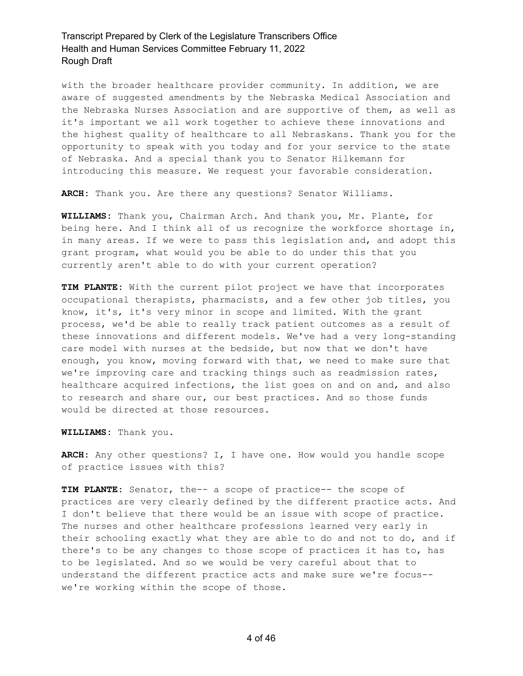with the broader healthcare provider community. In addition, we are aware of suggested amendments by the Nebraska Medical Association and the Nebraska Nurses Association and are supportive of them, as well as it's important we all work together to achieve these innovations and the highest quality of healthcare to all Nebraskans. Thank you for the opportunity to speak with you today and for your service to the state of Nebraska. And a special thank you to Senator Hilkemann for introducing this measure. We request your favorable consideration.

**ARCH:** Thank you. Are there any questions? Senator Williams.

**WILLIAMS:** Thank you, Chairman Arch. And thank you, Mr. Plante, for being here. And I think all of us recognize the workforce shortage in, in many areas. If we were to pass this legislation and, and adopt this grant program, what would you be able to do under this that you currently aren't able to do with your current operation?

**TIM PLANTE:** With the current pilot project we have that incorporates occupational therapists, pharmacists, and a few other job titles, you know, it's, it's very minor in scope and limited. With the grant process, we'd be able to really track patient outcomes as a result of these innovations and different models. We've had a very long-standing care model with nurses at the bedside, but now that we don't have enough, you know, moving forward with that, we need to make sure that we're improving care and tracking things such as readmission rates, healthcare acquired infections, the list goes on and on and, and also to research and share our, our best practices. And so those funds would be directed at those resources.

**WILLIAMS:** Thank you.

**ARCH:** Any other questions? I, I have one. How would you handle scope of practice issues with this?

**TIM PLANTE:** Senator, the-- a scope of practice-- the scope of practices are very clearly defined by the different practice acts. And I don't believe that there would be an issue with scope of practice. The nurses and other healthcare professions learned very early in their schooling exactly what they are able to do and not to do, and if there's to be any changes to those scope of practices it has to, has to be legislated. And so we would be very careful about that to understand the different practice acts and make sure we're focus- we're working within the scope of those.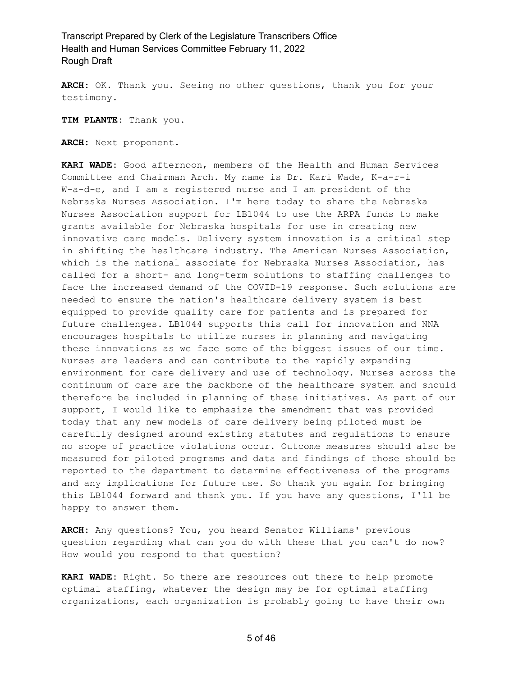**ARCH:** OK. Thank you. Seeing no other questions, thank you for your testimony.

**TIM PLANTE:** Thank you.

**ARCH:** Next proponent.

**KARI WADE:** Good afternoon, members of the Health and Human Services Committee and Chairman Arch. My name is Dr. Kari Wade, K-a-r-i W-a-d-e, and I am a registered nurse and I am president of the Nebraska Nurses Association. I'm here today to share the Nebraska Nurses Association support for LB1044 to use the ARPA funds to make grants available for Nebraska hospitals for use in creating new innovative care models. Delivery system innovation is a critical step in shifting the healthcare industry. The American Nurses Association, which is the national associate for Nebraska Nurses Association, has called for a short- and long-term solutions to staffing challenges to face the increased demand of the COVID-19 response. Such solutions are needed to ensure the nation's healthcare delivery system is best equipped to provide quality care for patients and is prepared for future challenges. LB1044 supports this call for innovation and NNA encourages hospitals to utilize nurses in planning and navigating these innovations as we face some of the biggest issues of our time. Nurses are leaders and can contribute to the rapidly expanding environment for care delivery and use of technology. Nurses across the continuum of care are the backbone of the healthcare system and should therefore be included in planning of these initiatives. As part of our support, I would like to emphasize the amendment that was provided today that any new models of care delivery being piloted must be carefully designed around existing statutes and regulations to ensure no scope of practice violations occur. Outcome measures should also be measured for piloted programs and data and findings of those should be reported to the department to determine effectiveness of the programs and any implications for future use. So thank you again for bringing this LB1044 forward and thank you. If you have any questions, I'll be happy to answer them.

**ARCH:** Any questions? You, you heard Senator Williams' previous question regarding what can you do with these that you can't do now? How would you respond to that question?

**KARI WADE:** Right. So there are resources out there to help promote optimal staffing, whatever the design may be for optimal staffing organizations, each organization is probably going to have their own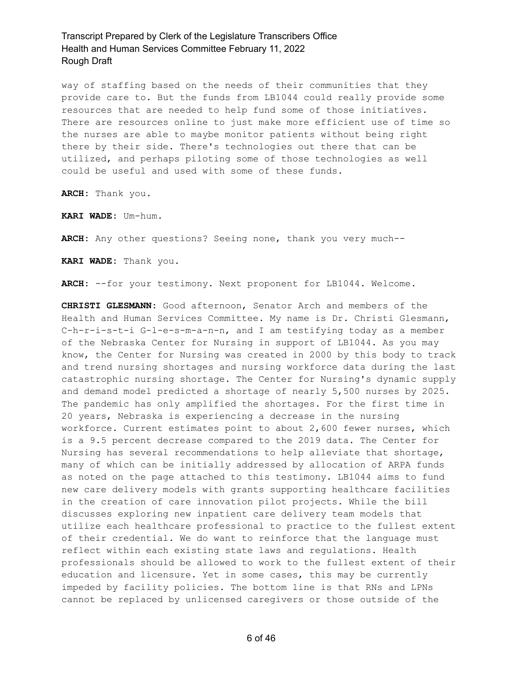way of staffing based on the needs of their communities that they provide care to. But the funds from LB1044 could really provide some resources that are needed to help fund some of those initiatives. There are resources online to just make more efficient use of time so the nurses are able to maybe monitor patients without being right there by their side. There's technologies out there that can be utilized, and perhaps piloting some of those technologies as well could be useful and used with some of these funds.

**ARCH:** Thank you.

**KARI WADE:** Um-hum.

**ARCH:** Any other questions? Seeing none, thank you very much--

**KARI WADE:** Thank you.

ARCH: --for your testimony. Next proponent for LB1044. Welcome.

**CHRISTI GLESMANN:** Good afternoon, Senator Arch and members of the Health and Human Services Committee. My name is Dr. Christi Glesmann, C-h-r-i-s-t-i G-l-e-s-m-a-n-n, and I am testifying today as a member of the Nebraska Center for Nursing in support of LB1044. As you may know, the Center for Nursing was created in 2000 by this body to track and trend nursing shortages and nursing workforce data during the last catastrophic nursing shortage. The Center for Nursing's dynamic supply and demand model predicted a shortage of nearly 5,500 nurses by 2025. The pandemic has only amplified the shortages. For the first time in 20 years, Nebraska is experiencing a decrease in the nursing workforce. Current estimates point to about 2,600 fewer nurses, which is a 9.5 percent decrease compared to the 2019 data. The Center for Nursing has several recommendations to help alleviate that shortage, many of which can be initially addressed by allocation of ARPA funds as noted on the page attached to this testimony. LB1044 aims to fund new care delivery models with grants supporting healthcare facilities in the creation of care innovation pilot projects. While the bill discusses exploring new inpatient care delivery team models that utilize each healthcare professional to practice to the fullest extent of their credential. We do want to reinforce that the language must reflect within each existing state laws and regulations. Health professionals should be allowed to work to the fullest extent of their education and licensure. Yet in some cases, this may be currently impeded by facility policies. The bottom line is that RNs and LPNs cannot be replaced by unlicensed caregivers or those outside of the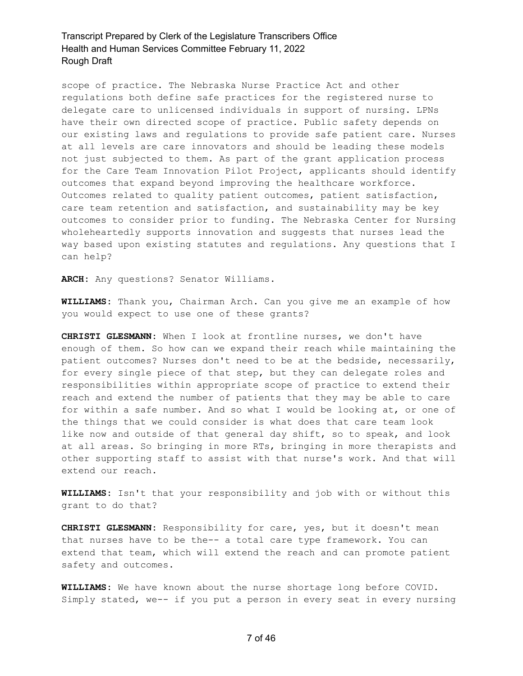scope of practice. The Nebraska Nurse Practice Act and other regulations both define safe practices for the registered nurse to delegate care to unlicensed individuals in support of nursing. LPNs have their own directed scope of practice. Public safety depends on our existing laws and regulations to provide safe patient care. Nurses at all levels are care innovators and should be leading these models not just subjected to them. As part of the grant application process for the Care Team Innovation Pilot Project, applicants should identify outcomes that expand beyond improving the healthcare workforce. Outcomes related to quality patient outcomes, patient satisfaction, care team retention and satisfaction, and sustainability may be key outcomes to consider prior to funding. The Nebraska Center for Nursing wholeheartedly supports innovation and suggests that nurses lead the way based upon existing statutes and regulations. Any questions that I can help?

**ARCH:** Any questions? Senator Williams.

**WILLIAMS:** Thank you, Chairman Arch. Can you give me an example of how you would expect to use one of these grants?

**CHRISTI GLESMANN:** When I look at frontline nurses, we don't have enough of them. So how can we expand their reach while maintaining the patient outcomes? Nurses don't need to be at the bedside, necessarily, for every single piece of that step, but they can delegate roles and responsibilities within appropriate scope of practice to extend their reach and extend the number of patients that they may be able to care for within a safe number. And so what I would be looking at, or one of the things that we could consider is what does that care team look like now and outside of that general day shift, so to speak, and look at all areas. So bringing in more RTs, bringing in more therapists and other supporting staff to assist with that nurse's work. And that will extend our reach.

**WILLIAMS:** Isn't that your responsibility and job with or without this grant to do that?

**CHRISTI GLESMANN:** Responsibility for care, yes, but it doesn't mean that nurses have to be the-- a total care type framework. You can extend that team, which will extend the reach and can promote patient safety and outcomes.

**WILLIAMS:** We have known about the nurse shortage long before COVID. Simply stated, we-- if you put a person in every seat in every nursing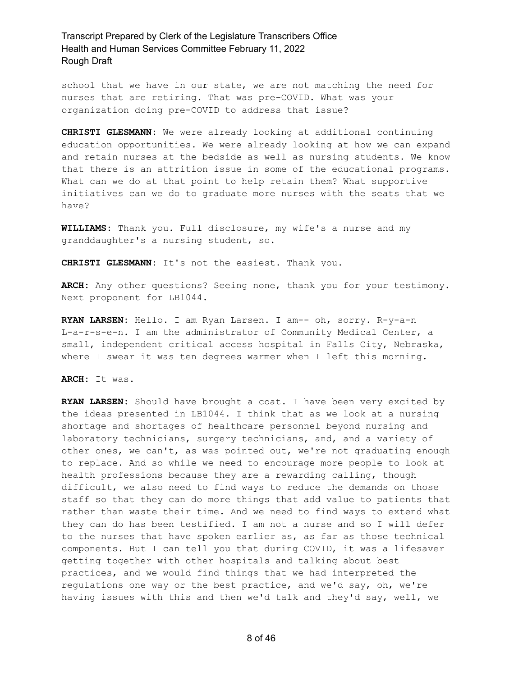school that we have in our state, we are not matching the need for nurses that are retiring. That was pre-COVID. What was your organization doing pre-COVID to address that issue?

**CHRISTI GLESMANN:** We were already looking at additional continuing education opportunities. We were already looking at how we can expand and retain nurses at the bedside as well as nursing students. We know that there is an attrition issue in some of the educational programs. What can we do at that point to help retain them? What supportive initiatives can we do to graduate more nurses with the seats that we have?

**WILLIAMS:** Thank you. Full disclosure, my wife's a nurse and my granddaughter's a nursing student, so.

**CHRISTI GLESMANN:** It's not the easiest. Thank you.

**ARCH:** Any other questions? Seeing none, thank you for your testimony. Next proponent for LB1044.

**RYAN LARSEN:** Hello. I am Ryan Larsen. I am-- oh, sorry. R-y-a-n L-a-r-s-e-n. I am the administrator of Community Medical Center, a small, independent critical access hospital in Falls City, Nebraska, where I swear it was ten degrees warmer when I left this morning.

**ARCH:** It was.

**RYAN LARSEN:** Should have brought a coat. I have been very excited by the ideas presented in LB1044. I think that as we look at a nursing shortage and shortages of healthcare personnel beyond nursing and laboratory technicians, surgery technicians, and, and a variety of other ones, we can't, as was pointed out, we're not graduating enough to replace. And so while we need to encourage more people to look at health professions because they are a rewarding calling, though difficult, we also need to find ways to reduce the demands on those staff so that they can do more things that add value to patients that rather than waste their time. And we need to find ways to extend what they can do has been testified. I am not a nurse and so I will defer to the nurses that have spoken earlier as, as far as those technical components. But I can tell you that during COVID, it was a lifesaver getting together with other hospitals and talking about best practices, and we would find things that we had interpreted the regulations one way or the best practice, and we'd say, oh, we're having issues with this and then we'd talk and they'd say, well, we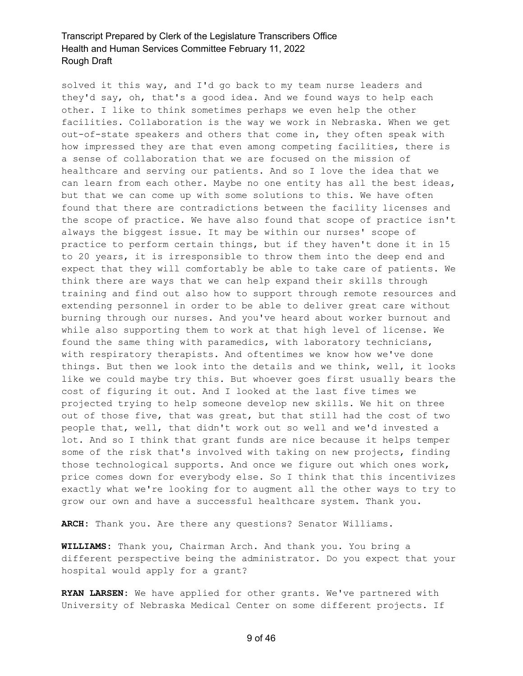solved it this way, and I'd go back to my team nurse leaders and they'd say, oh, that's a good idea. And we found ways to help each other. I like to think sometimes perhaps we even help the other facilities. Collaboration is the way we work in Nebraska. When we get out-of-state speakers and others that come in, they often speak with how impressed they are that even among competing facilities, there is a sense of collaboration that we are focused on the mission of healthcare and serving our patients. And so I love the idea that we can learn from each other. Maybe no one entity has all the best ideas, but that we can come up with some solutions to this. We have often found that there are contradictions between the facility licenses and the scope of practice. We have also found that scope of practice isn't always the biggest issue. It may be within our nurses' scope of practice to perform certain things, but if they haven't done it in 15 to 20 years, it is irresponsible to throw them into the deep end and expect that they will comfortably be able to take care of patients. We think there are ways that we can help expand their skills through training and find out also how to support through remote resources and extending personnel in order to be able to deliver great care without burning through our nurses. And you've heard about worker burnout and while also supporting them to work at that high level of license. We found the same thing with paramedics, with laboratory technicians, with respiratory therapists. And oftentimes we know how we've done things. But then we look into the details and we think, well, it looks like we could maybe try this. But whoever goes first usually bears the cost of figuring it out. And I looked at the last five times we projected trying to help someone develop new skills. We hit on three out of those five, that was great, but that still had the cost of two people that, well, that didn't work out so well and we'd invested a lot. And so I think that grant funds are nice because it helps temper some of the risk that's involved with taking on new projects, finding those technological supports. And once we figure out which ones work, price comes down for everybody else. So I think that this incentivizes exactly what we're looking for to augment all the other ways to try to grow our own and have a successful healthcare system. Thank you.

**ARCH:** Thank you. Are there any questions? Senator Williams.

**WILLIAMS:** Thank you, Chairman Arch. And thank you. You bring a different perspective being the administrator. Do you expect that your hospital would apply for a grant?

**RYAN LARSEN:** We have applied for other grants. We've partnered with University of Nebraska Medical Center on some different projects. If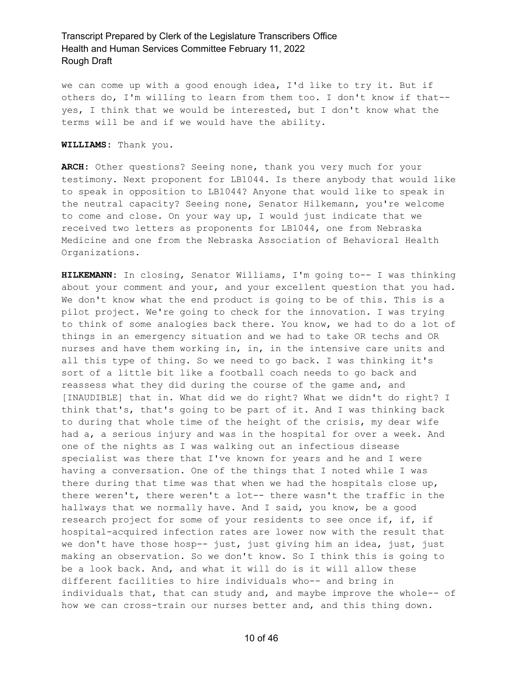we can come up with a good enough idea, I'd like to try it. But if others do, I'm willing to learn from them too. I don't know if that- yes, I think that we would be interested, but I don't know what the terms will be and if we would have the ability.

**WILLIAMS:** Thank you.

**ARCH:** Other questions? Seeing none, thank you very much for your testimony. Next proponent for LB1044. Is there anybody that would like to speak in opposition to LB1044? Anyone that would like to speak in the neutral capacity? Seeing none, Senator Hilkemann, you're welcome to come and close. On your way up, I would just indicate that we received two letters as proponents for LB1044, one from Nebraska Medicine and one from the Nebraska Association of Behavioral Health Organizations.

**HILKEMANN:** In closing, Senator Williams, I'm going to-- I was thinking about your comment and your, and your excellent question that you had. We don't know what the end product is going to be of this. This is a pilot project. We're going to check for the innovation. I was trying to think of some analogies back there. You know, we had to do a lot of things in an emergency situation and we had to take OR techs and OR nurses and have them working in, in, in the intensive care units and all this type of thing. So we need to go back. I was thinking it's sort of a little bit like a football coach needs to go back and reassess what they did during the course of the game and, and [INAUDIBLE] that in. What did we do right? What we didn't do right? I think that's, that's going to be part of it. And I was thinking back to during that whole time of the height of the crisis, my dear wife had a, a serious injury and was in the hospital for over a week. And one of the nights as I was walking out an infectious disease specialist was there that I've known for years and he and I were having a conversation. One of the things that I noted while I was there during that time was that when we had the hospitals close up, there weren't, there weren't a lot-- there wasn't the traffic in the hallways that we normally have. And I said, you know, be a good research project for some of your residents to see once if, if, if hospital-acquired infection rates are lower now with the result that we don't have those hosp-- just, just giving him an idea, just, just making an observation. So we don't know. So I think this is going to be a look back. And, and what it will do is it will allow these different facilities to hire individuals who-- and bring in individuals that, that can study and, and maybe improve the whole-- of how we can cross-train our nurses better and, and this thing down.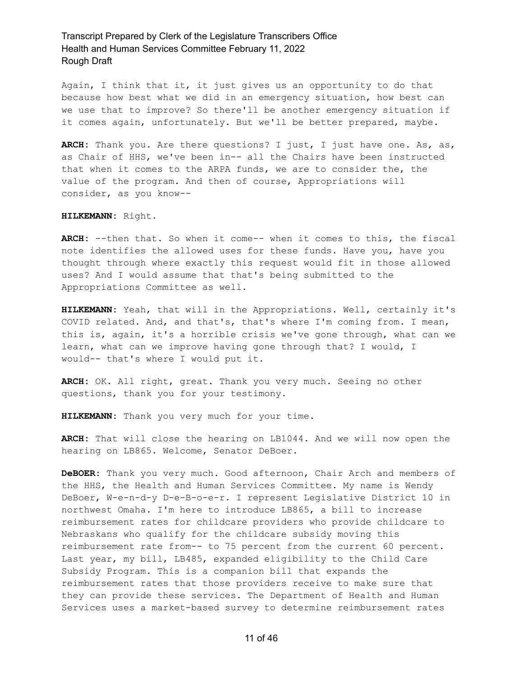Again, I think that it, it just gives us an opportunity to do that because how best what we did in an emergency situation, how best can we use that to improve? So there'll be another emergency situation if it comes again, unfortunately. But we'll be better prepared, maybe.

**ARCH:** Thank you. Are there questions? I just, I just have one. As, as, as Chair of HHS, we've been in-- all the Chairs have been instructed that when it comes to the ARPA funds, we are to consider the, the value of the program. And then of course, Appropriations will consider, as you know--

#### **HILKEMANN:** Right.

**ARCH:** --then that. So when it come-- when it comes to this, the fiscal note identifies the allowed uses for these funds. Have you, have you thought through where exactly this request would fit in those allowed uses? And I would assume that that's being submitted to the Appropriations Committee as well.

**HILKEMANN:** Yeah, that will in the Appropriations. Well, certainly it's COVID related. And, and that's, that's where I'm coming from. I mean, this is, again, it's a horrible crisis we've gone through, what can we learn, what can we improve having gone through that? I would, I would-- that's where I would put it.

**ARCH:** OK. All right, great. Thank you very much. Seeing no other questions, thank you for your testimony.

**HILKEMANN:** Thank you very much for your time.

**ARCH:** That will close the hearing on LB1044. And we will now open the hearing on LB865. Welcome, Senator DeBoer.

**DeBOER:** Thank you very much. Good afternoon, Chair Arch and members of the HHS, the Health and Human Services Committee. My name is Wendy DeBoer, W-e-n-d-y D-e-B-o-e-r. I represent Legislative District 10 in northwest Omaha. I'm here to introduce LB865, a bill to increase reimbursement rates for childcare providers who provide childcare to Nebraskans who qualify for the childcare subsidy moving this reimbursement rate from-- to 75 percent from the current 60 percent. Last year, my bill, LB485, expanded eligibility to the Child Care Subsidy Program. This is a companion bill that expands the reimbursement rates that those providers receive to make sure that they can provide these services. The Department of Health and Human Services uses a market-based survey to determine reimbursement rates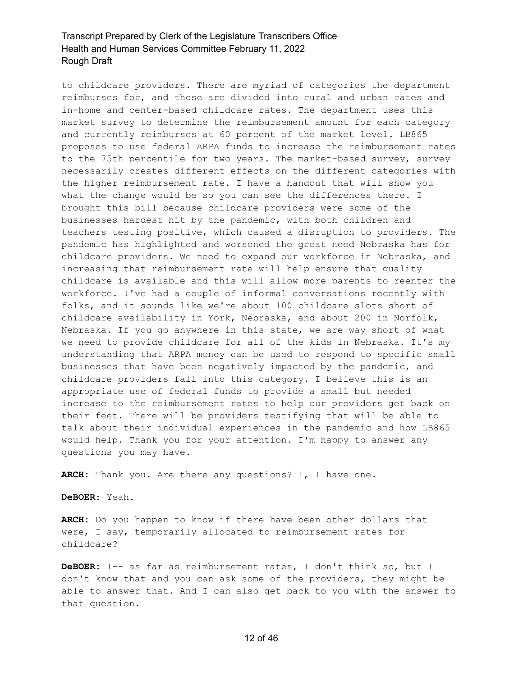to childcare providers. There are myriad of categories the department reimburses for, and those are divided into rural and urban rates and in-home and center-based childcare rates. The department uses this market survey to determine the reimbursement amount for each category and currently reimburses at 60 percent of the market level. LB865 proposes to use federal ARPA funds to increase the reimbursement rates to the 75th percentile for two years. The market-based survey, survey necessarily creates different effects on the different categories with the higher reimbursement rate. I have a handout that will show you what the change would be so you can see the differences there. I brought this bill because childcare providers were some of the businesses hardest hit by the pandemic, with both children and teachers testing positive, which caused a disruption to providers. The pandemic has highlighted and worsened the great need Nebraska has for childcare providers. We need to expand our workforce in Nebraska, and increasing that reimbursement rate will help ensure that quality childcare is available and this will allow more parents to reenter the workforce. I've had a couple of informal conversations recently with folks, and it sounds like we're about 100 childcare slots short of childcare availability in York, Nebraska, and about 200 in Norfolk, Nebraska. If you go anywhere in this state, we are way short of what we need to provide childcare for all of the kids in Nebraska. It's my understanding that ARPA money can be used to respond to specific small businesses that have been negatively impacted by the pandemic, and childcare providers fall into this category. I believe this is an appropriate use of federal funds to provide a small but needed increase to the reimbursement rates to help our providers get back on their feet. There will be providers testifying that will be able to talk about their individual experiences in the pandemic and how LB865 would help. Thank you for your attention. I'm happy to answer any questions you may have.

**ARCH:** Thank you. Are there any questions? I, I have one.

**DeBOER:** Yeah.

**ARCH:** Do you happen to know if there have been other dollars that were, I say, temporarily allocated to reimbursement rates for childcare?

**DeBOER:** I-- as far as reimbursement rates, I don't think so, but I don't know that and you can ask some of the providers, they might be able to answer that. And I can also get back to you with the answer to that question.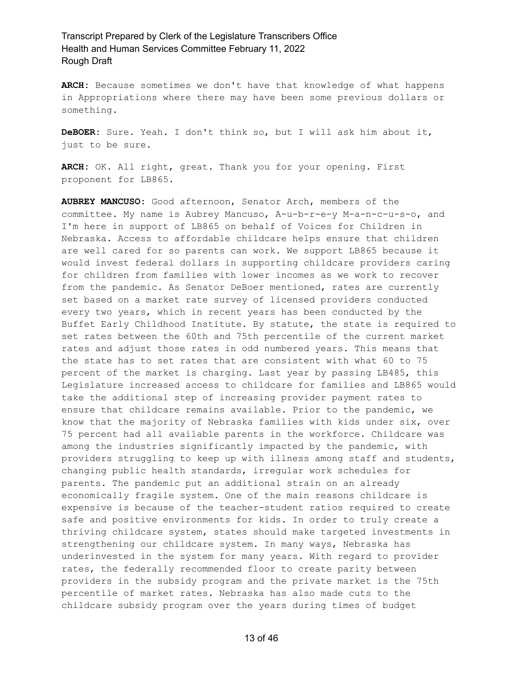**ARCH:** Because sometimes we don't have that knowledge of what happens in Appropriations where there may have been some previous dollars or something.

**DeBOER:** Sure. Yeah. I don't think so, but I will ask him about it, just to be sure.

**ARCH:** OK. All right, great. Thank you for your opening. First proponent for LB865.

**AUBREY MANCUSO:** Good afternoon, Senator Arch, members of the committee. My name is Aubrey Mancuso, A-u-b-r-e-y M-a-n-c-u-s-o, and I'm here in support of LB865 on behalf of Voices for Children in Nebraska. Access to affordable childcare helps ensure that children are well cared for so parents can work. We support LB865 because it would invest federal dollars in supporting childcare providers caring for children from families with lower incomes as we work to recover from the pandemic. As Senator DeBoer mentioned, rates are currently set based on a market rate survey of licensed providers conducted every two years, which in recent years has been conducted by the Buffet Early Childhood Institute. By statute, the state is required to set rates between the 60th and 75th percentile of the current market rates and adjust those rates in odd numbered years. This means that the state has to set rates that are consistent with what 60 to 75 percent of the market is charging. Last year by passing LB485, this Legislature increased access to childcare for families and LB865 would take the additional step of increasing provider payment rates to ensure that childcare remains available. Prior to the pandemic, we know that the majority of Nebraska families with kids under six, over 75 percent had all available parents in the workforce. Childcare was among the industries significantly impacted by the pandemic, with providers struggling to keep up with illness among staff and students, changing public health standards, irregular work schedules for parents. The pandemic put an additional strain on an already economically fragile system. One of the main reasons childcare is expensive is because of the teacher-student ratios required to create safe and positive environments for kids. In order to truly create a thriving childcare system, states should make targeted investments in strengthening our childcare system. In many ways, Nebraska has underinvested in the system for many years. With regard to provider rates, the federally recommended floor to create parity between providers in the subsidy program and the private market is the 75th percentile of market rates. Nebraska has also made cuts to the childcare subsidy program over the years during times of budget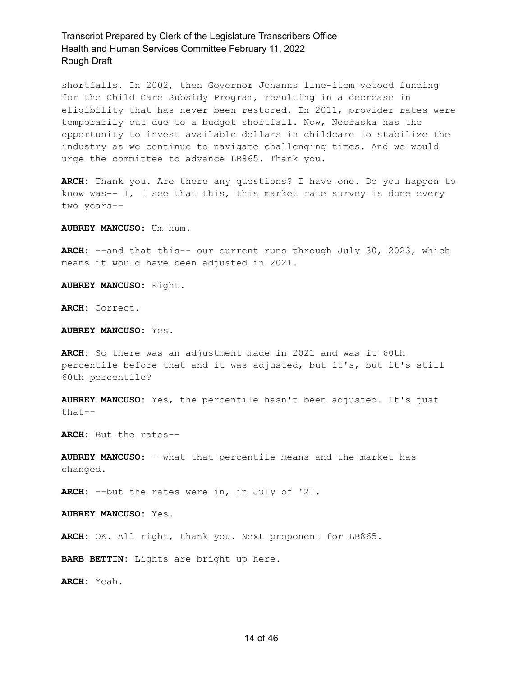shortfalls. In 2002, then Governor Johanns line-item vetoed funding for the Child Care Subsidy Program, resulting in a decrease in eligibility that has never been restored. In 2011, provider rates were temporarily cut due to a budget shortfall. Now, Nebraska has the opportunity to invest available dollars in childcare to stabilize the industry as we continue to navigate challenging times. And we would urge the committee to advance LB865. Thank you.

**ARCH:** Thank you. Are there any questions? I have one. Do you happen to know was-- I, I see that this, this market rate survey is done every two years--

**AUBREY MANCUSO:** Um-hum.

**ARCH:** --and that this-- our current runs through July 30, 2023, which means it would have been adjusted in 2021.

**AUBREY MANCUSO:** Right.

**ARCH:** Correct.

**AUBREY MANCUSO:** Yes.

**ARCH:** So there was an adjustment made in 2021 and was it 60th percentile before that and it was adjusted, but it's, but it's still 60th percentile?

**AUBREY MANCUSO:** Yes, the percentile hasn't been adjusted. It's just that--

**ARCH:** But the rates--

**AUBREY MANCUSO:** --what that percentile means and the market has changed.

**ARCH:** --but the rates were in, in July of '21.

**AUBREY MANCUSO:** Yes.

**ARCH:** OK. All right, thank you. Next proponent for LB865.

**BARB BETTIN:** Lights are bright up here.

**ARCH:** Yeah.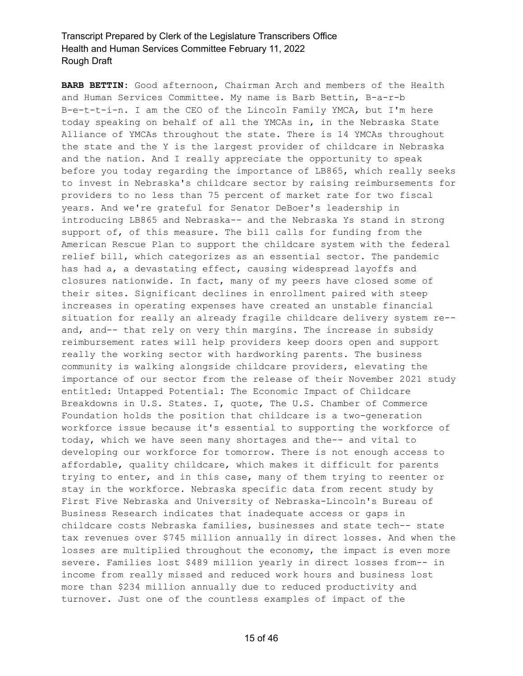**BARB BETTIN:** Good afternoon, Chairman Arch and members of the Health and Human Services Committee. My name is Barb Bettin, B-a-r-b B-e-t-t-i-n. I am the CEO of the Lincoln Family YMCA, but I'm here today speaking on behalf of all the YMCAs in, in the Nebraska State Alliance of YMCAs throughout the state. There is 14 YMCAs throughout the state and the Y is the largest provider of childcare in Nebraska and the nation. And I really appreciate the opportunity to speak before you today regarding the importance of LB865, which really seeks to invest in Nebraska's childcare sector by raising reimbursements for providers to no less than 75 percent of market rate for two fiscal years. And we're grateful for Senator DeBoer's leadership in introducing LB865 and Nebraska-- and the Nebraska Ys stand in strong support of, of this measure. The bill calls for funding from the American Rescue Plan to support the childcare system with the federal relief bill, which categorizes as an essential sector. The pandemic has had a, a devastating effect, causing widespread layoffs and closures nationwide. In fact, many of my peers have closed some of their sites. Significant declines in enrollment paired with steep increases in operating expenses have created an unstable financial situation for really an already fragile childcare delivery system re- and, and-- that rely on very thin margins. The increase in subsidy reimbursement rates will help providers keep doors open and support really the working sector with hardworking parents. The business community is walking alongside childcare providers, elevating the importance of our sector from the release of their November 2021 study entitled: Untapped Potential: The Economic Impact of Childcare Breakdowns in U.S. States. I, quote, The U.S. Chamber of Commerce Foundation holds the position that childcare is a two-generation workforce issue because it's essential to supporting the workforce of today, which we have seen many shortages and the-- and vital to developing our workforce for tomorrow. There is not enough access to affordable, quality childcare, which makes it difficult for parents trying to enter, and in this case, many of them trying to reenter or stay in the workforce. Nebraska specific data from recent study by First Five Nebraska and University of Nebraska-Lincoln's Bureau of Business Research indicates that inadequate access or gaps in childcare costs Nebraska families, businesses and state tech-- state tax revenues over \$745 million annually in direct losses. And when the losses are multiplied throughout the economy, the impact is even more severe. Families lost \$489 million yearly in direct losses from-- in income from really missed and reduced work hours and business lost more than \$234 million annually due to reduced productivity and turnover. Just one of the countless examples of impact of the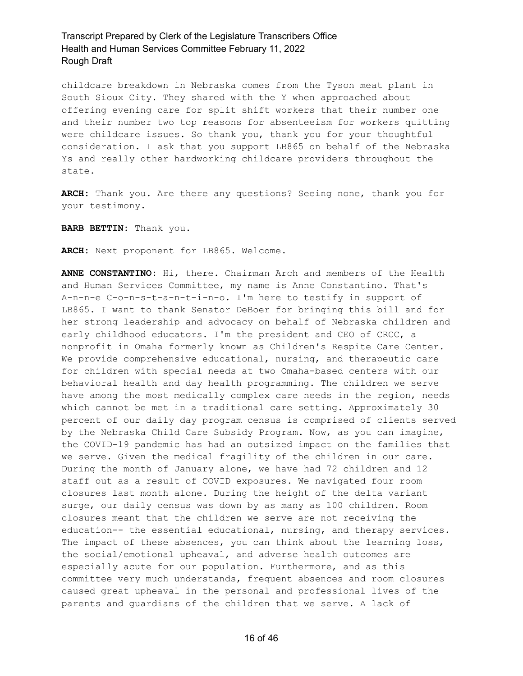childcare breakdown in Nebraska comes from the Tyson meat plant in South Sioux City. They shared with the Y when approached about offering evening care for split shift workers that their number one and their number two top reasons for absenteeism for workers quitting were childcare issues. So thank you, thank you for your thoughtful consideration. I ask that you support LB865 on behalf of the Nebraska Ys and really other hardworking childcare providers throughout the state.

**ARCH:** Thank you. Are there any questions? Seeing none, thank you for your testimony.

**BARB BETTIN:** Thank you.

**ARCH:** Next proponent for LB865. Welcome.

**ANNE CONSTANTINO:** Hi, there. Chairman Arch and members of the Health and Human Services Committee, my name is Anne Constantino. That's A-n-n-e C-o-n-s-t-a-n-t-i-n-o. I'm here to testify in support of LB865. I want to thank Senator DeBoer for bringing this bill and for her strong leadership and advocacy on behalf of Nebraska children and early childhood educators. I'm the president and CEO of CRCC, a nonprofit in Omaha formerly known as Children's Respite Care Center. We provide comprehensive educational, nursing, and therapeutic care for children with special needs at two Omaha-based centers with our behavioral health and day health programming. The children we serve have among the most medically complex care needs in the region, needs which cannot be met in a traditional care setting. Approximately 30 percent of our daily day program census is comprised of clients served by the Nebraska Child Care Subsidy Program. Now, as you can imagine, the COVID-19 pandemic has had an outsized impact on the families that we serve. Given the medical fragility of the children in our care. During the month of January alone, we have had 72 children and 12 staff out as a result of COVID exposures. We navigated four room closures last month alone. During the height of the delta variant surge, our daily census was down by as many as 100 children. Room closures meant that the children we serve are not receiving the education-- the essential educational, nursing, and therapy services. The impact of these absences, you can think about the learning loss, the social/emotional upheaval, and adverse health outcomes are especially acute for our population. Furthermore, and as this committee very much understands, frequent absences and room closures caused great upheaval in the personal and professional lives of the parents and guardians of the children that we serve. A lack of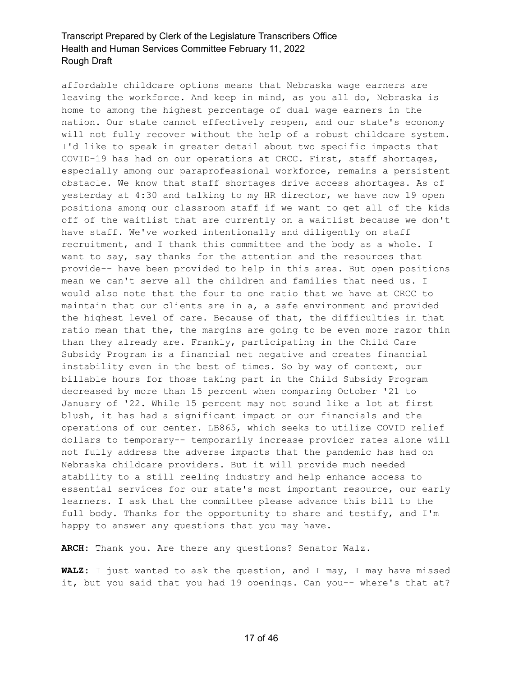affordable childcare options means that Nebraska wage earners are leaving the workforce. And keep in mind, as you all do, Nebraska is home to among the highest percentage of dual wage earners in the nation. Our state cannot effectively reopen, and our state's economy will not fully recover without the help of a robust childcare system. I'd like to speak in greater detail about two specific impacts that COVID-19 has had on our operations at CRCC. First, staff shortages, especially among our paraprofessional workforce, remains a persistent obstacle. We know that staff shortages drive access shortages. As of yesterday at 4:30 and talking to my HR director, we have now 19 open positions among our classroom staff if we want to get all of the kids off of the waitlist that are currently on a waitlist because we don't have staff. We've worked intentionally and diligently on staff recruitment, and I thank this committee and the body as a whole. I want to say, say thanks for the attention and the resources that provide-- have been provided to help in this area. But open positions mean we can't serve all the children and families that need us. I would also note that the four to one ratio that we have at CRCC to maintain that our clients are in a, a safe environment and provided the highest level of care. Because of that, the difficulties in that ratio mean that the, the margins are going to be even more razor thin than they already are. Frankly, participating in the Child Care Subsidy Program is a financial net negative and creates financial instability even in the best of times. So by way of context, our billable hours for those taking part in the Child Subsidy Program decreased by more than 15 percent when comparing October '21 to January of '22. While 15 percent may not sound like a lot at first blush, it has had a significant impact on our financials and the operations of our center. LB865, which seeks to utilize COVID relief dollars to temporary-- temporarily increase provider rates alone will not fully address the adverse impacts that the pandemic has had on Nebraska childcare providers. But it will provide much needed stability to a still reeling industry and help enhance access to essential services for our state's most important resource, our early learners. I ask that the committee please advance this bill to the full body. Thanks for the opportunity to share and testify, and I'm happy to answer any questions that you may have.

**ARCH:** Thank you. Are there any questions? Senator Walz.

**WALZ:** I just wanted to ask the question, and I may, I may have missed it, but you said that you had 19 openings. Can you-- where's that at?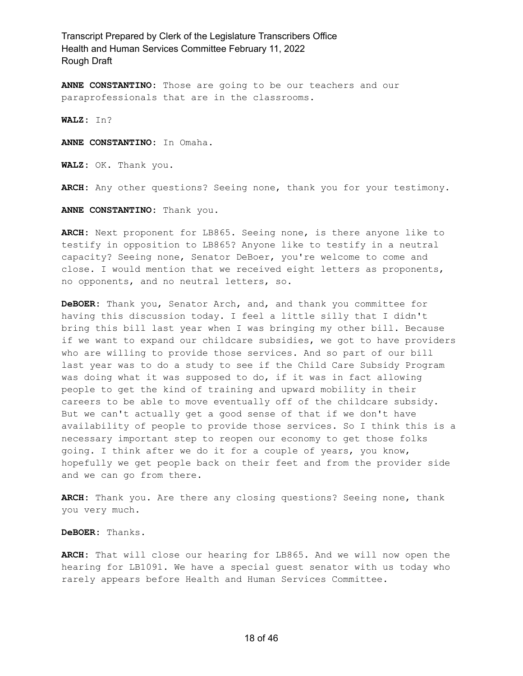**ANNE CONSTANTINO:** Those are going to be our teachers and our paraprofessionals that are in the classrooms.

**WALZ:** In?

**ANNE CONSTANTINO:** In Omaha.

**WALZ:** OK. Thank you.

**ARCH:** Any other questions? Seeing none, thank you for your testimony.

**ANNE CONSTANTINO:** Thank you.

**ARCH:** Next proponent for LB865. Seeing none, is there anyone like to testify in opposition to LB865? Anyone like to testify in a neutral capacity? Seeing none, Senator DeBoer, you're welcome to come and close. I would mention that we received eight letters as proponents, no opponents, and no neutral letters, so.

**DeBOER:** Thank you, Senator Arch, and, and thank you committee for having this discussion today. I feel a little silly that I didn't bring this bill last year when I was bringing my other bill. Because if we want to expand our childcare subsidies, we got to have providers who are willing to provide those services. And so part of our bill last year was to do a study to see if the Child Care Subsidy Program was doing what it was supposed to do, if it was in fact allowing people to get the kind of training and upward mobility in their careers to be able to move eventually off of the childcare subsidy. But we can't actually get a good sense of that if we don't have availability of people to provide those services. So I think this is a necessary important step to reopen our economy to get those folks going. I think after we do it for a couple of years, you know, hopefully we get people back on their feet and from the provider side and we can go from there.

**ARCH:** Thank you. Are there any closing questions? Seeing none, thank you very much.

**DeBOER:** Thanks.

**ARCH:** That will close our hearing for LB865. And we will now open the hearing for LB1091. We have a special guest senator with us today who rarely appears before Health and Human Services Committee.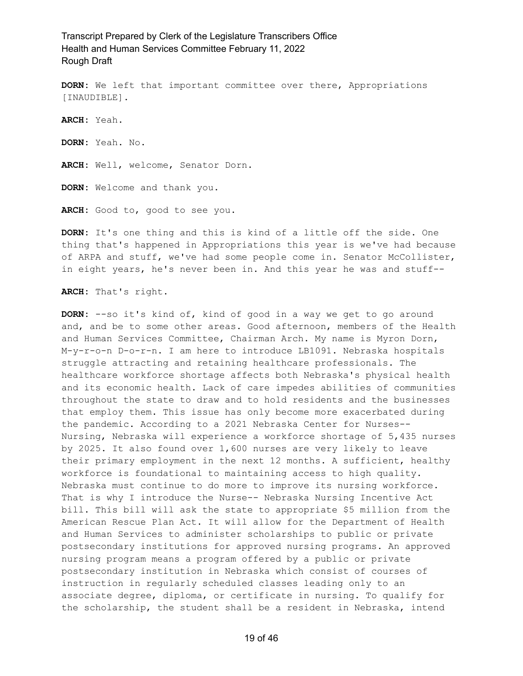**DORN:** We left that important committee over there, Appropriations [INAUDIBLE]. **ARCH:** Yeah. **DORN:** Yeah. No. ARCH: Well, welcome, Senator Dorn. **DORN:** Welcome and thank you. **ARCH:** Good to, good to see you.

**DORN:** It's one thing and this is kind of a little off the side. One thing that's happened in Appropriations this year is we've had because of ARPA and stuff, we've had some people come in. Senator McCollister, in eight years, he's never been in. And this year he was and stuff--

**ARCH:** That's right.

**DORN:** --so it's kind of, kind of good in a way we get to go around and, and be to some other areas. Good afternoon, members of the Health and Human Services Committee, Chairman Arch. My name is Myron Dorn, M-y-r-o-n D-o-r-n. I am here to introduce LB1091. Nebraska hospitals struggle attracting and retaining healthcare professionals. The healthcare workforce shortage affects both Nebraska's physical health and its economic health. Lack of care impedes abilities of communities throughout the state to draw and to hold residents and the businesses that employ them. This issue has only become more exacerbated during the pandemic. According to a 2021 Nebraska Center for Nurses-- Nursing, Nebraska will experience a workforce shortage of 5,435 nurses by 2025. It also found over 1,600 nurses are very likely to leave their primary employment in the next 12 months. A sufficient, healthy workforce is foundational to maintaining access to high quality. Nebraska must continue to do more to improve its nursing workforce. That is why I introduce the Nurse-- Nebraska Nursing Incentive Act bill. This bill will ask the state to appropriate \$5 million from the American Rescue Plan Act. It will allow for the Department of Health and Human Services to administer scholarships to public or private postsecondary institutions for approved nursing programs. An approved nursing program means a program offered by a public or private postsecondary institution in Nebraska which consist of courses of instruction in regularly scheduled classes leading only to an associate degree, diploma, or certificate in nursing. To qualify for the scholarship, the student shall be a resident in Nebraska, intend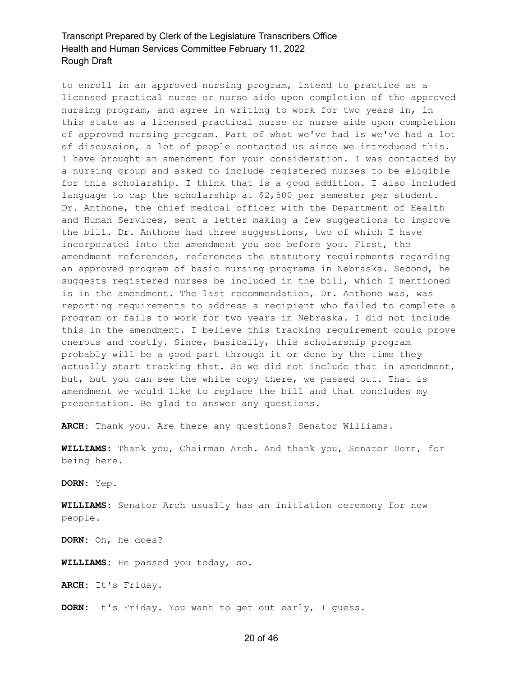to enroll in an approved nursing program, intend to practice as a licensed practical nurse or nurse aide upon completion of the approved nursing program, and agree in writing to work for two years in, in this state as a licensed practical nurse or nurse aide upon completion of approved nursing program. Part of what we've had is we've had a lot of discussion, a lot of people contacted us since we introduced this. I have brought an amendment for your consideration. I was contacted by a nursing group and asked to include registered nurses to be eligible for this scholarship. I think that is a good addition. I also included language to cap the scholarship at \$2,500 per semester per student. Dr. Anthone, the chief medical officer with the Department of Health and Human Services, sent a letter making a few suggestions to improve the bill. Dr. Anthone had three suggestions, two of which I have incorporated into the amendment you see before you. First, the amendment references, references the statutory requirements regarding an approved program of basic nursing programs in Nebraska. Second, he suggests registered nurses be included in the bill, which I mentioned is in the amendment. The last recommendation, Dr. Anthone was, was reporting requirements to address a recipient who failed to complete a program or fails to work for two years in Nebraska. I did not include this in the amendment. I believe this tracking requirement could prove onerous and costly. Since, basically, this scholarship program probably will be a good part through it or done by the time they actually start tracking that. So we did not include that in amendment, but, but you can see the white copy there, we passed out. That is amendment we would like to replace the bill and that concludes my presentation. Be glad to answer any questions.

**ARCH:** Thank you. Are there any questions? Senator Williams.

**WILLIAMS:** Thank you, Chairman Arch. And thank you, Senator Dorn, for being here.

**DORN:** Yep.

**WILLIAMS:** Senator Arch usually has an initiation ceremony for new people.

**DORN:** Oh, he does?

**WILLIAMS:** He passed you today, so.

**ARCH:** It's Friday.

**DORN:** It's Friday. You want to get out early, I guess.

#### 20 of 46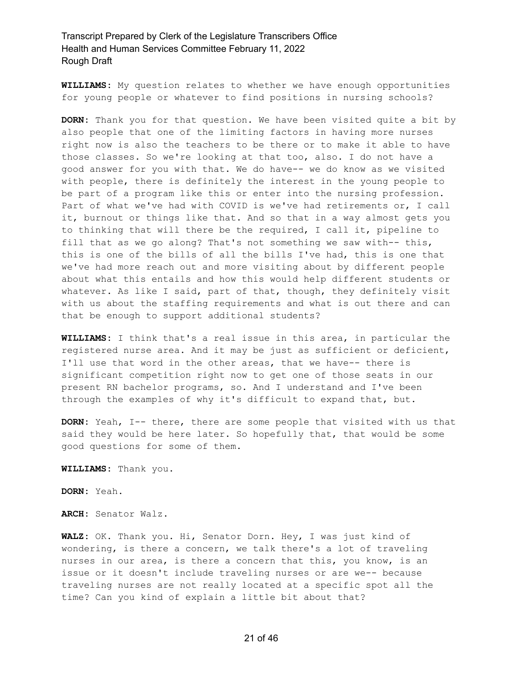**WILLIAMS:** My question relates to whether we have enough opportunities for young people or whatever to find positions in nursing schools?

**DORN:** Thank you for that question. We have been visited quite a bit by also people that one of the limiting factors in having more nurses right now is also the teachers to be there or to make it able to have those classes. So we're looking at that too, also. I do not have a good answer for you with that. We do have-- we do know as we visited with people, there is definitely the interest in the young people to be part of a program like this or enter into the nursing profession. Part of what we've had with COVID is we've had retirements or, I call it, burnout or things like that. And so that in a way almost gets you to thinking that will there be the required, I call it, pipeline to fill that as we go along? That's not something we saw with-- this, this is one of the bills of all the bills I've had, this is one that we've had more reach out and more visiting about by different people about what this entails and how this would help different students or whatever. As like I said, part of that, though, they definitely visit with us about the staffing requirements and what is out there and can that be enough to support additional students?

**WILLIAMS:** I think that's a real issue in this area, in particular the registered nurse area. And it may be just as sufficient or deficient, I'll use that word in the other areas, that we have-- there is significant competition right now to get one of those seats in our present RN bachelor programs, so. And I understand and I've been through the examples of why it's difficult to expand that, but.

**DORN:** Yeah, I-- there, there are some people that visited with us that said they would be here later. So hopefully that, that would be some good questions for some of them.

**WILLIAMS:** Thank you.

**DORN:** Yeah.

**ARCH:** Senator Walz.

**WALZ:** OK. Thank you. Hi, Senator Dorn. Hey, I was just kind of wondering, is there a concern, we talk there's a lot of traveling nurses in our area, is there a concern that this, you know, is an issue or it doesn't include traveling nurses or are we-- because traveling nurses are not really located at a specific spot all the time? Can you kind of explain a little bit about that?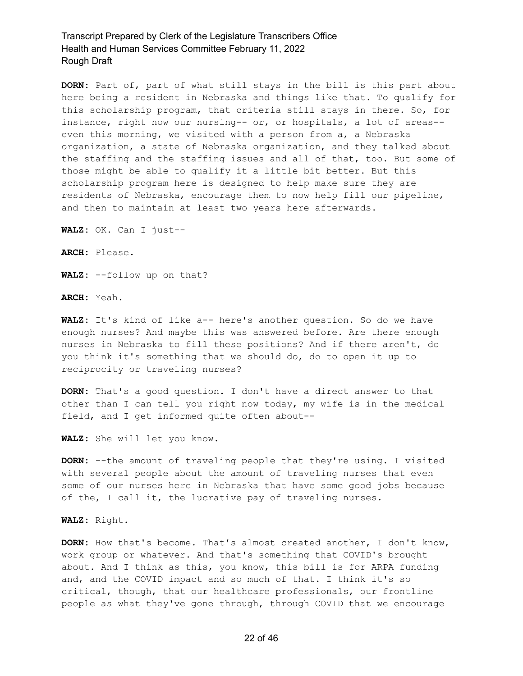**DORN:** Part of, part of what still stays in the bill is this part about here being a resident in Nebraska and things like that. To qualify for this scholarship program, that criteria still stays in there. So, for instance, right now our nursing-- or, or hospitals, a lot of areas- even this morning, we visited with a person from a, a Nebraska organization, a state of Nebraska organization, and they talked about the staffing and the staffing issues and all of that, too. But some of those might be able to qualify it a little bit better. But this scholarship program here is designed to help make sure they are residents of Nebraska, encourage them to now help fill our pipeline, and then to maintain at least two years here afterwards.

**WALZ:** OK. Can I just--

**ARCH:** Please.

**WALZ:** --follow up on that?

**ARCH:** Yeah.

**WALZ:** It's kind of like a-- here's another question. So do we have enough nurses? And maybe this was answered before. Are there enough nurses in Nebraska to fill these positions? And if there aren't, do you think it's something that we should do, do to open it up to reciprocity or traveling nurses?

**DORN:** That's a good question. I don't have a direct answer to that other than I can tell you right now today, my wife is in the medical field, and I get informed quite often about--

**WALZ:** She will let you know.

**DORN:** --the amount of traveling people that they're using. I visited with several people about the amount of traveling nurses that even some of our nurses here in Nebraska that have some good jobs because of the, I call it, the lucrative pay of traveling nurses.

**WALZ:** Right.

**DORN:** How that's become. That's almost created another, I don't know, work group or whatever. And that's something that COVID's brought about. And I think as this, you know, this bill is for ARPA funding and, and the COVID impact and so much of that. I think it's so critical, though, that our healthcare professionals, our frontline people as what they've gone through, through COVID that we encourage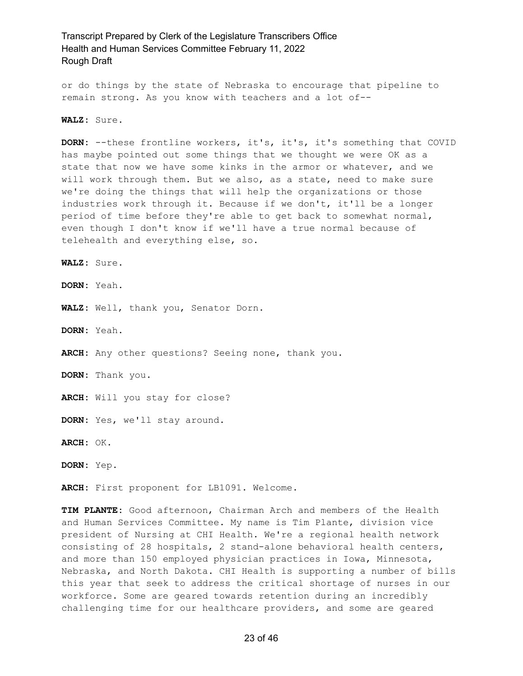or do things by the state of Nebraska to encourage that pipeline to remain strong. As you know with teachers and a lot of--

**WALZ:** Sure.

**DORN:** --these frontline workers, it's, it's, it's something that COVID has maybe pointed out some things that we thought we were OK as a state that now we have some kinks in the armor or whatever, and we will work through them. But we also, as a state, need to make sure we're doing the things that will help the organizations or those industries work through it. Because if we don't, it'll be a longer period of time before they're able to get back to somewhat normal, even though I don't know if we'll have a true normal because of telehealth and everything else, so.

**WALZ:** Sure.

**DORN:** Yeah.

**WALZ:** Well, thank you, Senator Dorn.

**DORN:** Yeah.

**ARCH:** Any other questions? Seeing none, thank you.

**DORN:** Thank you.

**ARCH:** Will you stay for close?

**DORN:** Yes, we'll stay around.

**ARCH:** OK.

**DORN:** Yep.

**ARCH:** First proponent for LB1091. Welcome.

**TIM PLANTE:** Good afternoon, Chairman Arch and members of the Health and Human Services Committee. My name is Tim Plante, division vice president of Nursing at CHI Health. We're a regional health network consisting of 28 hospitals, 2 stand-alone behavioral health centers, and more than 150 employed physician practices in Iowa, Minnesota, Nebraska, and North Dakota. CHI Health is supporting a number of bills this year that seek to address the critical shortage of nurses in our workforce. Some are geared towards retention during an incredibly challenging time for our healthcare providers, and some are geared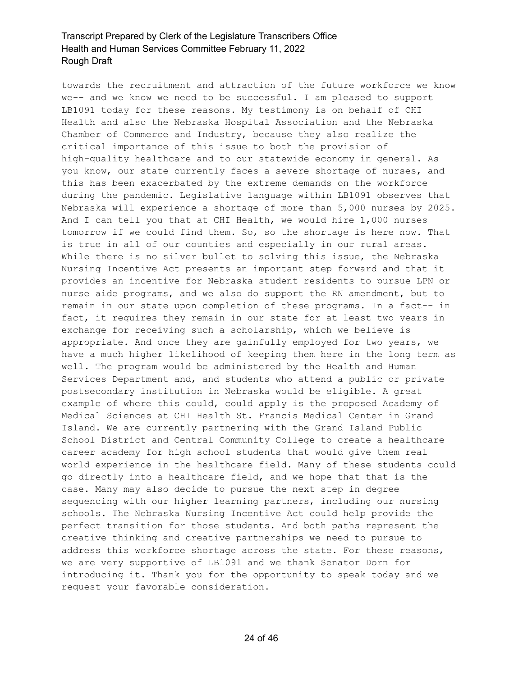towards the recruitment and attraction of the future workforce we know we-- and we know we need to be successful. I am pleased to support LB1091 today for these reasons. My testimony is on behalf of CHI Health and also the Nebraska Hospital Association and the Nebraska Chamber of Commerce and Industry, because they also realize the critical importance of this issue to both the provision of high-quality healthcare and to our statewide economy in general. As you know, our state currently faces a severe shortage of nurses, and this has been exacerbated by the extreme demands on the workforce during the pandemic. Legislative language within LB1091 observes that Nebraska will experience a shortage of more than 5,000 nurses by 2025. And I can tell you that at CHI Health, we would hire 1,000 nurses tomorrow if we could find them. So, so the shortage is here now. That is true in all of our counties and especially in our rural areas. While there is no silver bullet to solving this issue, the Nebraska Nursing Incentive Act presents an important step forward and that it provides an incentive for Nebraska student residents to pursue LPN or nurse aide programs, and we also do support the RN amendment, but to remain in our state upon completion of these programs. In a fact-- in fact, it requires they remain in our state for at least two years in exchange for receiving such a scholarship, which we believe is appropriate. And once they are gainfully employed for two years, we have a much higher likelihood of keeping them here in the long term as well. The program would be administered by the Health and Human Services Department and, and students who attend a public or private postsecondary institution in Nebraska would be eligible. A great example of where this could, could apply is the proposed Academy of Medical Sciences at CHI Health St. Francis Medical Center in Grand Island. We are currently partnering with the Grand Island Public School District and Central Community College to create a healthcare career academy for high school students that would give them real world experience in the healthcare field. Many of these students could go directly into a healthcare field, and we hope that that is the case. Many may also decide to pursue the next step in degree sequencing with our higher learning partners, including our nursing schools. The Nebraska Nursing Incentive Act could help provide the perfect transition for those students. And both paths represent the creative thinking and creative partnerships we need to pursue to address this workforce shortage across the state. For these reasons, we are very supportive of LB1091 and we thank Senator Dorn for introducing it. Thank you for the opportunity to speak today and we request your favorable consideration.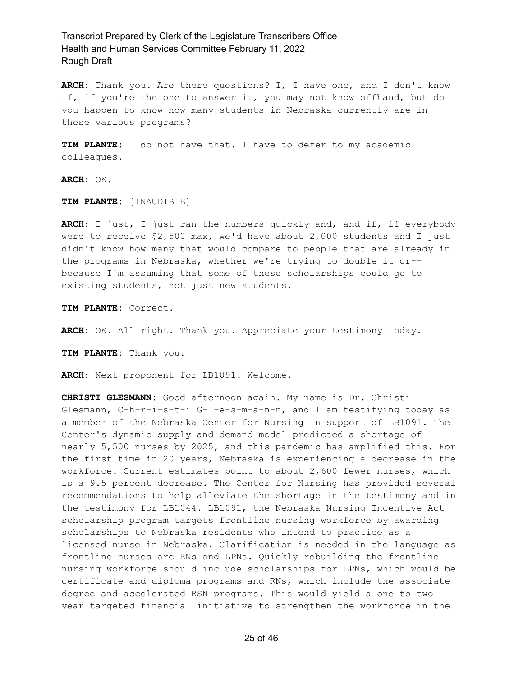**ARCH:** Thank you. Are there questions? I, I have one, and I don't know if, if you're the one to answer it, you may not know offhand, but do you happen to know how many students in Nebraska currently are in these various programs?

**TIM PLANTE:** I do not have that. I have to defer to my academic colleagues.

**ARCH:** OK.

**TIM PLANTE:** [INAUDIBLE]

**ARCH:** I just, I just ran the numbers quickly and, and if, if everybody were to receive \$2,500 max, we'd have about 2,000 students and I just didn't know how many that would compare to people that are already in the programs in Nebraska, whether we're trying to double it or- because I'm assuming that some of these scholarships could go to existing students, not just new students.

**TIM PLANTE:** Correct.

**ARCH:** OK. All right. Thank you. Appreciate your testimony today.

**TIM PLANTE:** Thank you.

**ARCH:** Next proponent for LB1091. Welcome.

**CHRISTI GLESMANN:** Good afternoon again. My name is Dr. Christi Glesmann, C-h-r-i-s-t-i G-l-e-s-m-a-n-n, and I am testifying today as a member of the Nebraska Center for Nursing in support of LB1091. The Center's dynamic supply and demand model predicted a shortage of nearly 5,500 nurses by 2025, and this pandemic has amplified this. For the first time in 20 years, Nebraska is experiencing a decrease in the workforce. Current estimates point to about 2,600 fewer nurses, which is a 9.5 percent decrease. The Center for Nursing has provided several recommendations to help alleviate the shortage in the testimony and in the testimony for LB1044. LB1091, the Nebraska Nursing Incentive Act scholarship program targets frontline nursing workforce by awarding scholarships to Nebraska residents who intend to practice as a licensed nurse in Nebraska. Clarification is needed in the language as frontline nurses are RNs and LPNs. Quickly rebuilding the frontline nursing workforce should include scholarships for LPNs, which would be certificate and diploma programs and RNs, which include the associate degree and accelerated BSN programs. This would yield a one to two year targeted financial initiative to strengthen the workforce in the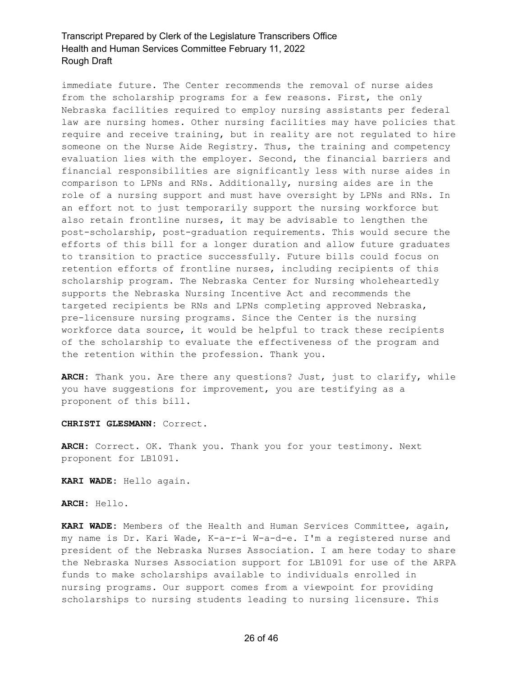immediate future. The Center recommends the removal of nurse aides from the scholarship programs for a few reasons. First, the only Nebraska facilities required to employ nursing assistants per federal law are nursing homes. Other nursing facilities may have policies that require and receive training, but in reality are not regulated to hire someone on the Nurse Aide Registry. Thus, the training and competency evaluation lies with the employer. Second, the financial barriers and financial responsibilities are significantly less with nurse aides in comparison to LPNs and RNs. Additionally, nursing aides are in the role of a nursing support and must have oversight by LPNs and RNs. In an effort not to just temporarily support the nursing workforce but also retain frontline nurses, it may be advisable to lengthen the post-scholarship, post-graduation requirements. This would secure the efforts of this bill for a longer duration and allow future graduates to transition to practice successfully. Future bills could focus on retention efforts of frontline nurses, including recipients of this scholarship program. The Nebraska Center for Nursing wholeheartedly supports the Nebraska Nursing Incentive Act and recommends the targeted recipients be RNs and LPNs completing approved Nebraska, pre-licensure nursing programs. Since the Center is the nursing workforce data source, it would be helpful to track these recipients of the scholarship to evaluate the effectiveness of the program and the retention within the profession. Thank you.

**ARCH:** Thank you. Are there any questions? Just, just to clarify, while you have suggestions for improvement, you are testifying as a proponent of this bill.

**CHRISTI GLESMANN:** Correct.

**ARCH:** Correct. OK. Thank you. Thank you for your testimony. Next proponent for LB1091.

**KARI WADE:** Hello again.

**ARCH:** Hello.

**KARI WADE:** Members of the Health and Human Services Committee, again, my name is Dr. Kari Wade, K-a-r-i W-a-d-e. I'm a registered nurse and president of the Nebraska Nurses Association. I am here today to share the Nebraska Nurses Association support for LB1091 for use of the ARPA funds to make scholarships available to individuals enrolled in nursing programs. Our support comes from a viewpoint for providing scholarships to nursing students leading to nursing licensure. This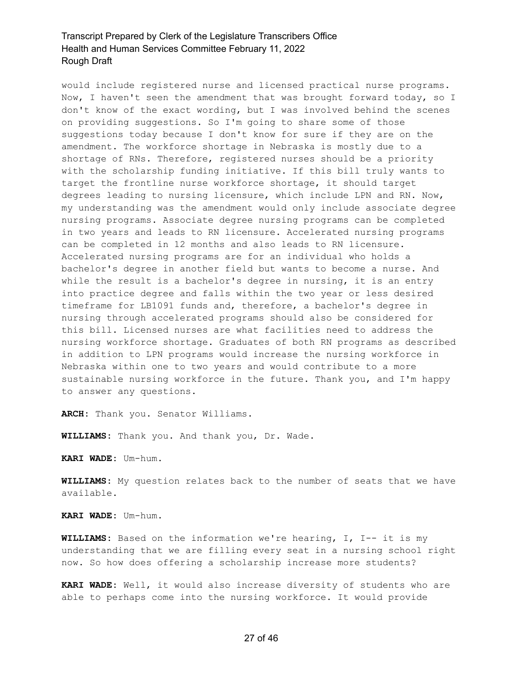would include registered nurse and licensed practical nurse programs. Now, I haven't seen the amendment that was brought forward today, so I don't know of the exact wording, but I was involved behind the scenes on providing suggestions. So I'm going to share some of those suggestions today because I don't know for sure if they are on the amendment. The workforce shortage in Nebraska is mostly due to a shortage of RNs. Therefore, registered nurses should be a priority with the scholarship funding initiative. If this bill truly wants to target the frontline nurse workforce shortage, it should target degrees leading to nursing licensure, which include LPN and RN. Now, my understanding was the amendment would only include associate degree nursing programs. Associate degree nursing programs can be completed in two years and leads to RN licensure. Accelerated nursing programs can be completed in 12 months and also leads to RN licensure. Accelerated nursing programs are for an individual who holds a bachelor's degree in another field but wants to become a nurse. And while the result is a bachelor's degree in nursing, it is an entry into practice degree and falls within the two year or less desired timeframe for LB1091 funds and, therefore, a bachelor's degree in nursing through accelerated programs should also be considered for this bill. Licensed nurses are what facilities need to address the nursing workforce shortage. Graduates of both RN programs as described in addition to LPN programs would increase the nursing workforce in Nebraska within one to two years and would contribute to a more sustainable nursing workforce in the future. Thank you, and I'm happy to answer any questions.

**ARCH:** Thank you. Senator Williams.

**WILLIAMS:** Thank you. And thank you, Dr. Wade.

**KARI WADE:** Um-hum.

**WILLIAMS:** My question relates back to the number of seats that we have available.

**KARI WADE:** Um-hum.

**WILLIAMS:** Based on the information we're hearing, I, I-- it is my understanding that we are filling every seat in a nursing school right now. So how does offering a scholarship increase more students?

**KARI WADE:** Well, it would also increase diversity of students who are able to perhaps come into the nursing workforce. It would provide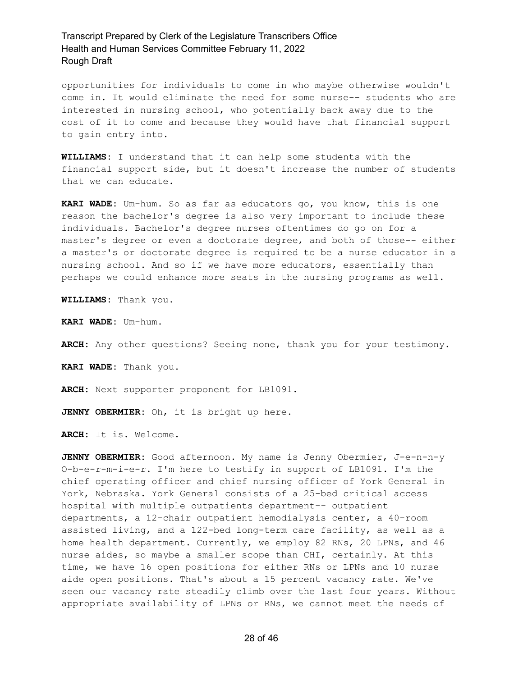opportunities for individuals to come in who maybe otherwise wouldn't come in. It would eliminate the need for some nurse-- students who are interested in nursing school, who potentially back away due to the cost of it to come and because they would have that financial support to gain entry into.

**WILLIAMS:** I understand that it can help some students with the financial support side, but it doesn't increase the number of students that we can educate.

**KARI WADE:** Um-hum. So as far as educators go, you know, this is one reason the bachelor's degree is also very important to include these individuals. Bachelor's degree nurses oftentimes do go on for a master's degree or even a doctorate degree, and both of those-- either a master's or doctorate degree is required to be a nurse educator in a nursing school. And so if we have more educators, essentially than perhaps we could enhance more seats in the nursing programs as well.

**WILLIAMS:** Thank you.

**KARI WADE:** Um-hum.

**ARCH:** Any other questions? Seeing none, thank you for your testimony.

**KARI WADE:** Thank you.

**ARCH:** Next supporter proponent for LB1091.

**JENNY OBERMIER:** Oh, it is bright up here.

**ARCH:** It is. Welcome.

**JENNY OBERMIER:** Good afternoon. My name is Jenny Obermier, J-e-n-n-y O-b-e-r-m-i-e-r. I'm here to testify in support of LB1091. I'm the chief operating officer and chief nursing officer of York General in York, Nebraska. York General consists of a 25-bed critical access hospital with multiple outpatients department-- outpatient departments, a 12-chair outpatient hemodialysis center, a 40-room assisted living, and a 122-bed long-term care facility, as well as a home health department. Currently, we employ 82 RNs, 20 LPNs, and 46 nurse aides, so maybe a smaller scope than CHI, certainly. At this time, we have 16 open positions for either RNs or LPNs and 10 nurse aide open positions. That's about a 15 percent vacancy rate. We've seen our vacancy rate steadily climb over the last four years. Without appropriate availability of LPNs or RNs, we cannot meet the needs of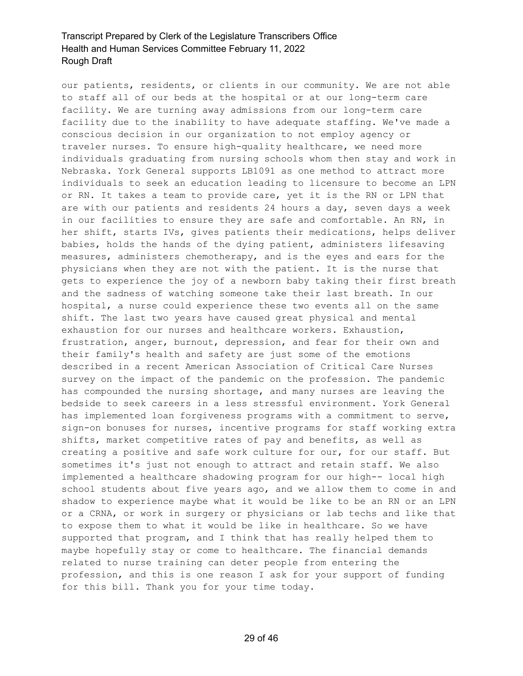our patients, residents, or clients in our community. We are not able to staff all of our beds at the hospital or at our long-term care facility. We are turning away admissions from our long-term care facility due to the inability to have adequate staffing. We've made a conscious decision in our organization to not employ agency or traveler nurses. To ensure high-quality healthcare, we need more individuals graduating from nursing schools whom then stay and work in Nebraska. York General supports LB1091 as one method to attract more individuals to seek an education leading to licensure to become an LPN or RN. It takes a team to provide care, yet it is the RN or LPN that are with our patients and residents 24 hours a day, seven days a week in our facilities to ensure they are safe and comfortable. An RN, in her shift, starts IVs, gives patients their medications, helps deliver babies, holds the hands of the dying patient, administers lifesaving measures, administers chemotherapy, and is the eyes and ears for the physicians when they are not with the patient. It is the nurse that gets to experience the joy of a newborn baby taking their first breath and the sadness of watching someone take their last breath. In our hospital, a nurse could experience these two events all on the same shift. The last two years have caused great physical and mental exhaustion for our nurses and healthcare workers. Exhaustion, frustration, anger, burnout, depression, and fear for their own and their family's health and safety are just some of the emotions described in a recent American Association of Critical Care Nurses survey on the impact of the pandemic on the profession. The pandemic has compounded the nursing shortage, and many nurses are leaving the bedside to seek careers in a less stressful environment. York General has implemented loan forgiveness programs with a commitment to serve, sign-on bonuses for nurses, incentive programs for staff working extra shifts, market competitive rates of pay and benefits, as well as creating a positive and safe work culture for our, for our staff. But sometimes it's just not enough to attract and retain staff. We also implemented a healthcare shadowing program for our high-- local high school students about five years ago, and we allow them to come in and shadow to experience maybe what it would be like to be an RN or an LPN or a CRNA, or work in surgery or physicians or lab techs and like that to expose them to what it would be like in healthcare. So we have supported that program, and I think that has really helped them to maybe hopefully stay or come to healthcare. The financial demands related to nurse training can deter people from entering the profession, and this is one reason I ask for your support of funding for this bill. Thank you for your time today.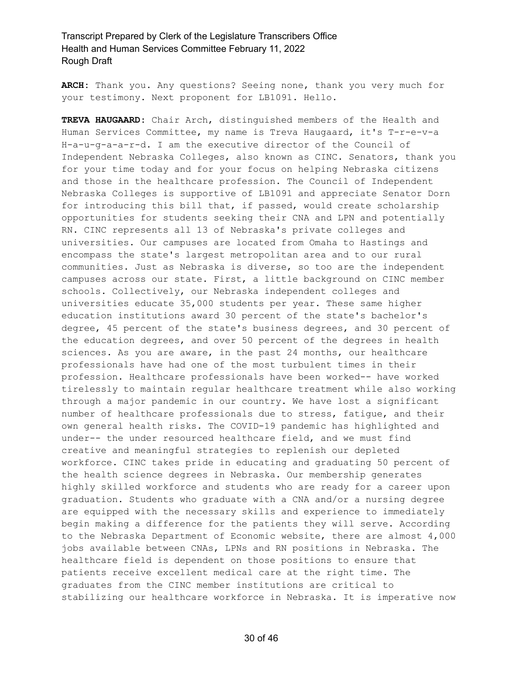**ARCH:** Thank you. Any questions? Seeing none, thank you very much for your testimony. Next proponent for LB1091. Hello.

**TREVA HAUGAARD:** Chair Arch, distinguished members of the Health and Human Services Committee, my name is Treva Haugaard, it's T-r-e-v-a H-a-u-g-a-a-r-d. I am the executive director of the Council of Independent Nebraska Colleges, also known as CINC. Senators, thank you for your time today and for your focus on helping Nebraska citizens and those in the healthcare profession. The Council of Independent Nebraska Colleges is supportive of LB1091 and appreciate Senator Dorn for introducing this bill that, if passed, would create scholarship opportunities for students seeking their CNA and LPN and potentially RN. CINC represents all 13 of Nebraska's private colleges and universities. Our campuses are located from Omaha to Hastings and encompass the state's largest metropolitan area and to our rural communities. Just as Nebraska is diverse, so too are the independent campuses across our state. First, a little background on CINC member schools. Collectively, our Nebraska independent colleges and universities educate 35,000 students per year. These same higher education institutions award 30 percent of the state's bachelor's degree, 45 percent of the state's business degrees, and 30 percent of the education degrees, and over 50 percent of the degrees in health sciences. As you are aware, in the past 24 months, our healthcare professionals have had one of the most turbulent times in their profession. Healthcare professionals have been worked-- have worked tirelessly to maintain regular healthcare treatment while also working through a major pandemic in our country. We have lost a significant number of healthcare professionals due to stress, fatigue, and their own general health risks. The COVID-19 pandemic has highlighted and under-- the under resourced healthcare field, and we must find creative and meaningful strategies to replenish our depleted workforce. CINC takes pride in educating and graduating 50 percent of the health science degrees in Nebraska. Our membership generates highly skilled workforce and students who are ready for a career upon graduation. Students who graduate with a CNA and/or a nursing degree are equipped with the necessary skills and experience to immediately begin making a difference for the patients they will serve. According to the Nebraska Department of Economic website, there are almost 4,000 jobs available between CNAs, LPNs and RN positions in Nebraska. The healthcare field is dependent on those positions to ensure that patients receive excellent medical care at the right time. The graduates from the CINC member institutions are critical to stabilizing our healthcare workforce in Nebraska. It is imperative now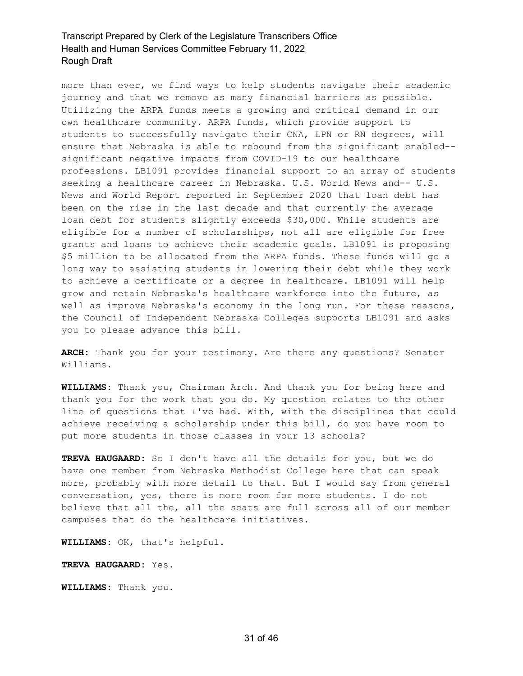more than ever, we find ways to help students navigate their academic journey and that we remove as many financial barriers as possible. Utilizing the ARPA funds meets a growing and critical demand in our own healthcare community. ARPA funds, which provide support to students to successfully navigate their CNA, LPN or RN degrees, will ensure that Nebraska is able to rebound from the significant enabled- significant negative impacts from COVID-19 to our healthcare professions. LB1091 provides financial support to an array of students seeking a healthcare career in Nebraska. U.S. World News and-- U.S. News and World Report reported in September 2020 that loan debt has been on the rise in the last decade and that currently the average loan debt for students slightly exceeds \$30,000. While students are eligible for a number of scholarships, not all are eligible for free grants and loans to achieve their academic goals. LB1091 is proposing \$5 million to be allocated from the ARPA funds. These funds will go a long way to assisting students in lowering their debt while they work to achieve a certificate or a degree in healthcare. LB1091 will help grow and retain Nebraska's healthcare workforce into the future, as well as improve Nebraska's economy in the long run. For these reasons, the Council of Independent Nebraska Colleges supports LB1091 and asks you to please advance this bill.

**ARCH:** Thank you for your testimony. Are there any questions? Senator Williams.

**WILLIAMS:** Thank you, Chairman Arch. And thank you for being here and thank you for the work that you do. My question relates to the other line of questions that I've had. With, with the disciplines that could achieve receiving a scholarship under this bill, do you have room to put more students in those classes in your 13 schools?

**TREVA HAUGAARD:** So I don't have all the details for you, but we do have one member from Nebraska Methodist College here that can speak more, probably with more detail to that. But I would say from general conversation, yes, there is more room for more students. I do not believe that all the, all the seats are full across all of our member campuses that do the healthcare initiatives.

**WILLIAMS:** OK, that's helpful.

**TREVA HAUGAARD:** Yes.

**WILLIAMS:** Thank you.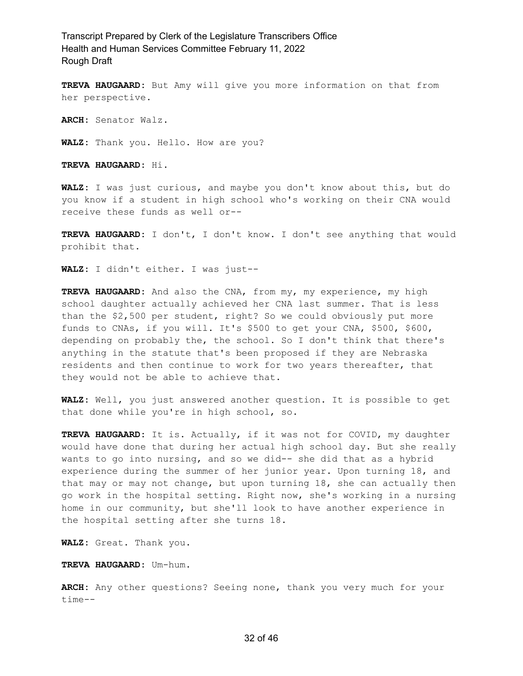**TREVA HAUGAARD:** But Amy will give you more information on that from her perspective.

**ARCH:** Senator Walz.

**WALZ:** Thank you. Hello. How are you?

**TREVA HAUGAARD:** Hi.

**WALZ:** I was just curious, and maybe you don't know about this, but do you know if a student in high school who's working on their CNA would receive these funds as well or--

**TREVA HAUGAARD:** I don't, I don't know. I don't see anything that would prohibit that.

**WALZ:** I didn't either. I was just--

**TREVA HAUGAARD:** And also the CNA, from my, my experience, my high school daughter actually achieved her CNA last summer. That is less than the \$2,500 per student, right? So we could obviously put more funds to CNAs, if you will. It's \$500 to get your CNA, \$500, \$600, depending on probably the, the school. So I don't think that there's anything in the statute that's been proposed if they are Nebraska residents and then continue to work for two years thereafter, that they would not be able to achieve that.

**WALZ:** Well, you just answered another question. It is possible to get that done while you're in high school, so.

**TREVA HAUGAARD:** It is. Actually, if it was not for COVID, my daughter would have done that during her actual high school day. But she really wants to go into nursing, and so we did-- she did that as a hybrid experience during the summer of her junior year. Upon turning 18, and that may or may not change, but upon turning 18, she can actually then go work in the hospital setting. Right now, she's working in a nursing home in our community, but she'll look to have another experience in the hospital setting after she turns 18.

**WALZ:** Great. Thank you.

**TREVA HAUGAARD:** Um-hum.

**ARCH:** Any other questions? Seeing none, thank you very much for your time--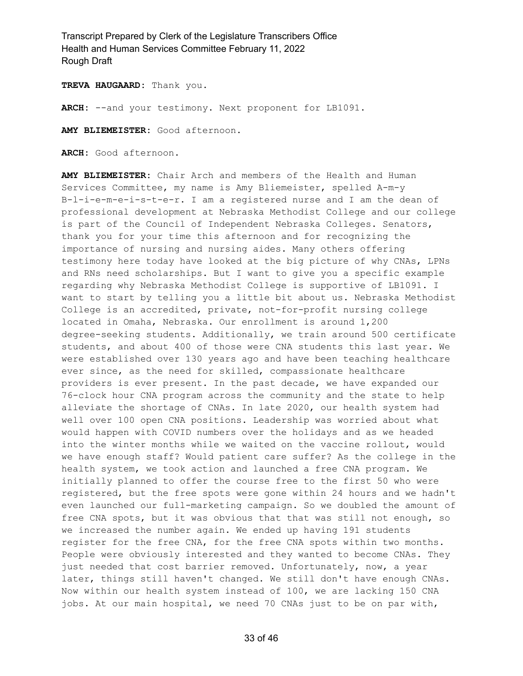**TREVA HAUGAARD:** Thank you.

**ARCH:** --and your testimony. Next proponent for LB1091.

**AMY BLIEMEISTER:** Good afternoon.

**ARCH:** Good afternoon.

**AMY BLIEMEISTER:** Chair Arch and members of the Health and Human Services Committee, my name is Amy Bliemeister, spelled A-m-y B-l-i-e-m-e-i-s-t-e-r. I am a registered nurse and I am the dean of professional development at Nebraska Methodist College and our college is part of the Council of Independent Nebraska Colleges. Senators, thank you for your time this afternoon and for recognizing the importance of nursing and nursing aides. Many others offering testimony here today have looked at the big picture of why CNAs, LPNs and RNs need scholarships. But I want to give you a specific example regarding why Nebraska Methodist College is supportive of LB1091. I want to start by telling you a little bit about us. Nebraska Methodist College is an accredited, private, not-for-profit nursing college located in Omaha, Nebraska. Our enrollment is around 1,200 degree-seeking students. Additionally, we train around 500 certificate students, and about 400 of those were CNA students this last year. We were established over 130 years ago and have been teaching healthcare ever since, as the need for skilled, compassionate healthcare providers is ever present. In the past decade, we have expanded our 76-clock hour CNA program across the community and the state to help alleviate the shortage of CNAs. In late 2020, our health system had well over 100 open CNA positions. Leadership was worried about what would happen with COVID numbers over the holidays and as we headed into the winter months while we waited on the vaccine rollout, would we have enough staff? Would patient care suffer? As the college in the health system, we took action and launched a free CNA program. We initially planned to offer the course free to the first 50 who were registered, but the free spots were gone within 24 hours and we hadn't even launched our full-marketing campaign. So we doubled the amount of free CNA spots, but it was obvious that that was still not enough, so we increased the number again. We ended up having 191 students register for the free CNA, for the free CNA spots within two months. People were obviously interested and they wanted to become CNAs. They just needed that cost barrier removed. Unfortunately, now, a year later, things still haven't changed. We still don't have enough CNAs. Now within our health system instead of 100, we are lacking 150 CNA jobs. At our main hospital, we need 70 CNAs just to be on par with,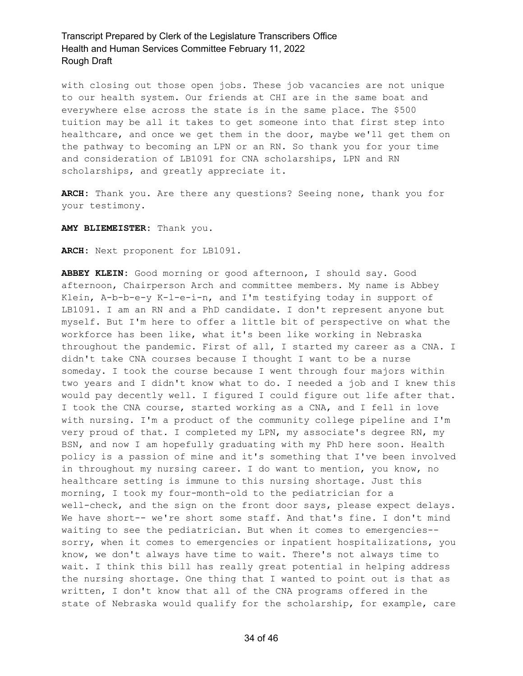with closing out those open jobs. These job vacancies are not unique to our health system. Our friends at CHI are in the same boat and everywhere else across the state is in the same place. The \$500 tuition may be all it takes to get someone into that first step into healthcare, and once we get them in the door, maybe we'll get them on the pathway to becoming an LPN or an RN. So thank you for your time and consideration of LB1091 for CNA scholarships, LPN and RN scholarships, and greatly appreciate it.

**ARCH:** Thank you. Are there any questions? Seeing none, thank you for your testimony.

**AMY BLIEMEISTER:** Thank you.

**ARCH:** Next proponent for LB1091.

**ABBEY KLEIN:** Good morning or good afternoon, I should say. Good afternoon, Chairperson Arch and committee members. My name is Abbey Klein, A-b-b-e-y K-l-e-i-n, and I'm testifying today in support of LB1091. I am an RN and a PhD candidate. I don't represent anyone but myself. But I'm here to offer a little bit of perspective on what the workforce has been like, what it's been like working in Nebraska throughout the pandemic. First of all, I started my career as a CNA. I didn't take CNA courses because I thought I want to be a nurse someday. I took the course because I went through four majors within two years and I didn't know what to do. I needed a job and I knew this would pay decently well. I figured I could figure out life after that. I took the CNA course, started working as a CNA, and I fell in love with nursing. I'm a product of the community college pipeline and I'm very proud of that. I completed my LPN, my associate's degree RN, my BSN, and now I am hopefully graduating with my PhD here soon. Health policy is a passion of mine and it's something that I've been involved in throughout my nursing career. I do want to mention, you know, no healthcare setting is immune to this nursing shortage. Just this morning, I took my four-month-old to the pediatrician for a well-check, and the sign on the front door says, please expect delays. We have short-- we're short some staff. And that's fine. I don't mind waiting to see the pediatrician. But when it comes to emergencies- sorry, when it comes to emergencies or inpatient hospitalizations, you know, we don't always have time to wait. There's not always time to wait. I think this bill has really great potential in helping address the nursing shortage. One thing that I wanted to point out is that as written, I don't know that all of the CNA programs offered in the state of Nebraska would qualify for the scholarship, for example, care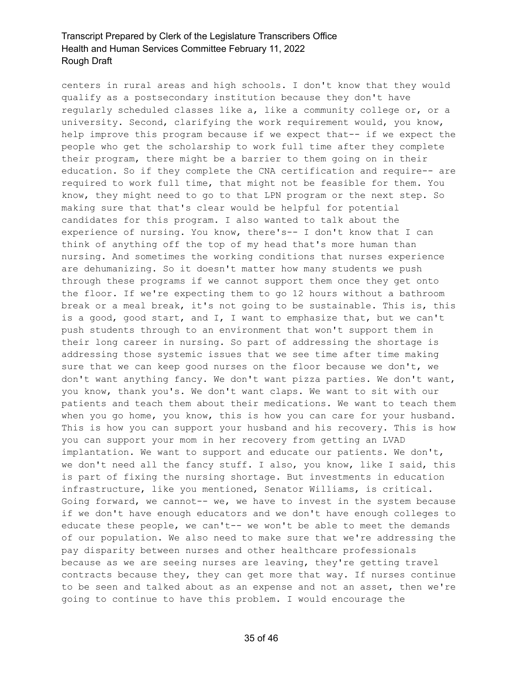centers in rural areas and high schools. I don't know that they would qualify as a postsecondary institution because they don't have regularly scheduled classes like a, like a community college or, or a university. Second, clarifying the work requirement would, you know, help improve this program because if we expect that-- if we expect the people who get the scholarship to work full time after they complete their program, there might be a barrier to them going on in their education. So if they complete the CNA certification and require-- are required to work full time, that might not be feasible for them. You know, they might need to go to that LPN program or the next step. So making sure that that's clear would be helpful for potential candidates for this program. I also wanted to talk about the experience of nursing. You know, there's-- I don't know that I can think of anything off the top of my head that's more human than nursing. And sometimes the working conditions that nurses experience are dehumanizing. So it doesn't matter how many students we push through these programs if we cannot support them once they get onto the floor. If we're expecting them to go 12 hours without a bathroom break or a meal break, it's not going to be sustainable. This is, this is a good, good start, and I, I want to emphasize that, but we can't push students through to an environment that won't support them in their long career in nursing. So part of addressing the shortage is addressing those systemic issues that we see time after time making sure that we can keep good nurses on the floor because we don't, we don't want anything fancy. We don't want pizza parties. We don't want, you know, thank you's. We don't want claps. We want to sit with our patients and teach them about their medications. We want to teach them when you go home, you know, this is how you can care for your husband. This is how you can support your husband and his recovery. This is how you can support your mom in her recovery from getting an LVAD implantation. We want to support and educate our patients. We don't, we don't need all the fancy stuff. I also, you know, like I said, this is part of fixing the nursing shortage. But investments in education infrastructure, like you mentioned, Senator Williams, is critical. Going forward, we cannot-- we, we have to invest in the system because if we don't have enough educators and we don't have enough colleges to educate these people, we can't-- we won't be able to meet the demands of our population. We also need to make sure that we're addressing the pay disparity between nurses and other healthcare professionals because as we are seeing nurses are leaving, they're getting travel contracts because they, they can get more that way. If nurses continue to be seen and talked about as an expense and not an asset, then we're going to continue to have this problem. I would encourage the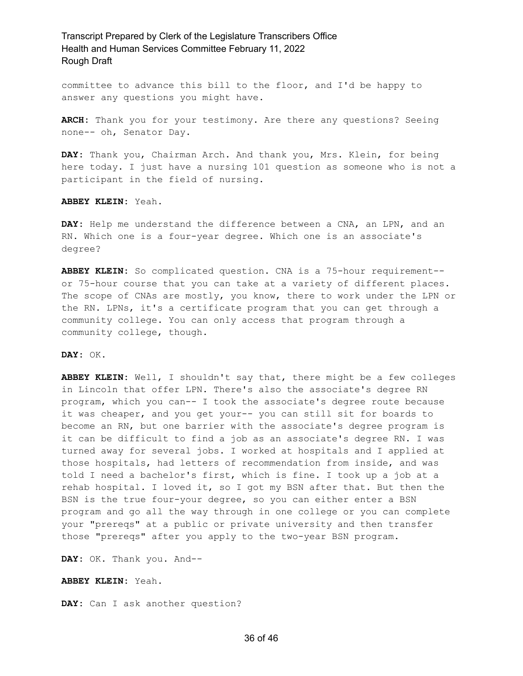committee to advance this bill to the floor, and I'd be happy to answer any questions you might have.

**ARCH:** Thank you for your testimony. Are there any questions? Seeing none-- oh, Senator Day.

**DAY:** Thank you, Chairman Arch. And thank you, Mrs. Klein, for being here today. I just have a nursing 101 question as someone who is not a participant in the field of nursing.

**ABBEY KLEIN:** Yeah.

**DAY:** Help me understand the difference between a CNA, an LPN, and an RN. Which one is a four-year degree. Which one is an associate's degree?

**ABBEY KLEIN:** So complicated question. CNA is a 75-hour requirement- or 75-hour course that you can take at a variety of different places. The scope of CNAs are mostly, you know, there to work under the LPN or the RN. LPNs, it's a certificate program that you can get through a community college. You can only access that program through a community college, though.

**DAY:** OK.

**ABBEY KLEIN:** Well, I shouldn't say that, there might be a few colleges in Lincoln that offer LPN. There's also the associate's degree RN program, which you can-- I took the associate's degree route because it was cheaper, and you get your-- you can still sit for boards to become an RN, but one barrier with the associate's degree program is it can be difficult to find a job as an associate's degree RN. I was turned away for several jobs. I worked at hospitals and I applied at those hospitals, had letters of recommendation from inside, and was told I need a bachelor's first, which is fine. I took up a job at a rehab hospital. I loved it, so I got my BSN after that. But then the BSN is the true four-your degree, so you can either enter a BSN program and go all the way through in one college or you can complete your "prereqs" at a public or private university and then transfer those "prereqs" after you apply to the two-year BSN program.

**DAY:** OK. Thank you. And--

**ABBEY KLEIN:** Yeah.

**DAY:** Can I ask another question?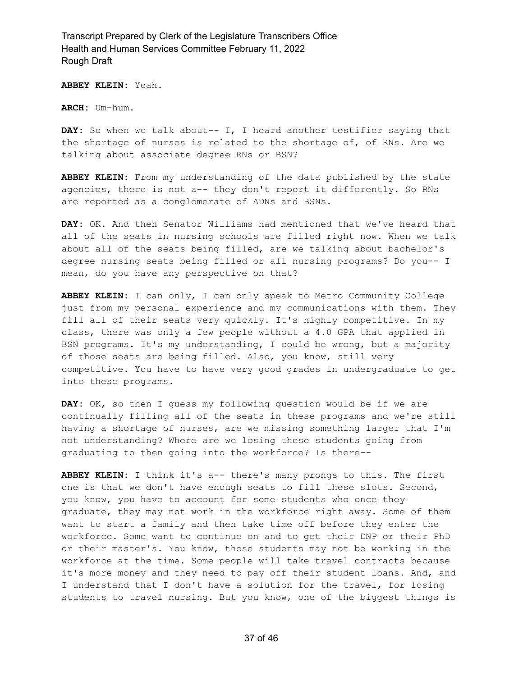**ABBEY KLEIN:** Yeah.

**ARCH:** Um-hum.

**DAY:** So when we talk about-- I, I heard another testifier saying that the shortage of nurses is related to the shortage of, of RNs. Are we talking about associate degree RNs or BSN?

**ABBEY KLEIN:** From my understanding of the data published by the state agencies, there is not a-- they don't report it differently. So RNs are reported as a conglomerate of ADNs and BSNs.

**DAY:** OK. And then Senator Williams had mentioned that we've heard that all of the seats in nursing schools are filled right now. When we talk about all of the seats being filled, are we talking about bachelor's degree nursing seats being filled or all nursing programs? Do you-- I mean, do you have any perspective on that?

**ABBEY KLEIN:** I can only, I can only speak to Metro Community College just from my personal experience and my communications with them. They fill all of their seats very quickly. It's highly competitive. In my class, there was only a few people without a 4.0 GPA that applied in BSN programs. It's my understanding, I could be wrong, but a majority of those seats are being filled. Also, you know, still very competitive. You have to have very good grades in undergraduate to get into these programs.

**DAY:** OK, so then I guess my following question would be if we are continually filling all of the seats in these programs and we're still having a shortage of nurses, are we missing something larger that I'm not understanding? Where are we losing these students going from graduating to then going into the workforce? Is there--

**ABBEY KLEIN:** I think it's a-- there's many prongs to this. The first one is that we don't have enough seats to fill these slots. Second, you know, you have to account for some students who once they graduate, they may not work in the workforce right away. Some of them want to start a family and then take time off before they enter the workforce. Some want to continue on and to get their DNP or their PhD or their master's. You know, those students may not be working in the workforce at the time. Some people will take travel contracts because it's more money and they need to pay off their student loans. And, and I understand that I don't have a solution for the travel, for losing students to travel nursing. But you know, one of the biggest things is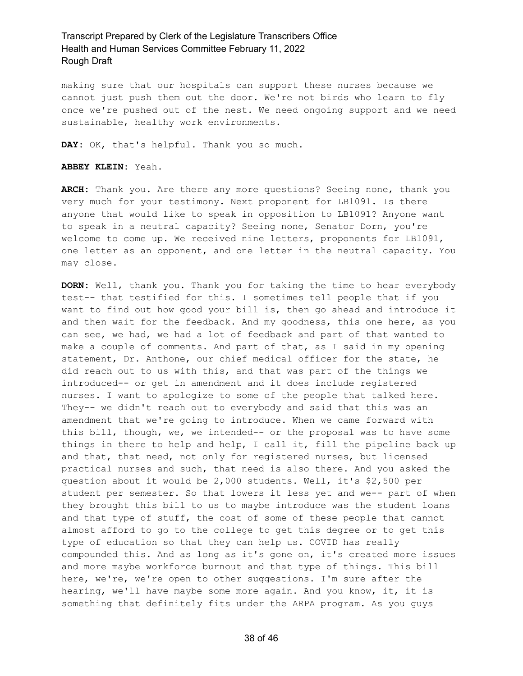making sure that our hospitals can support these nurses because we cannot just push them out the door. We're not birds who learn to fly once we're pushed out of the nest. We need ongoing support and we need sustainable, healthy work environments.

**DAY:** OK, that's helpful. Thank you so much.

**ABBEY KLEIN:** Yeah.

**ARCH:** Thank you. Are there any more questions? Seeing none, thank you very much for your testimony. Next proponent for LB1091. Is there anyone that would like to speak in opposition to LB1091? Anyone want to speak in a neutral capacity? Seeing none, Senator Dorn, you're welcome to come up. We received nine letters, proponents for LB1091, one letter as an opponent, and one letter in the neutral capacity. You may close.

**DORN:** Well, thank you. Thank you for taking the time to hear everybody test-- that testified for this. I sometimes tell people that if you want to find out how good your bill is, then go ahead and introduce it and then wait for the feedback. And my goodness, this one here, as you can see, we had, we had a lot of feedback and part of that wanted to make a couple of comments. And part of that, as I said in my opening statement, Dr. Anthone, our chief medical officer for the state, he did reach out to us with this, and that was part of the things we introduced-- or get in amendment and it does include registered nurses. I want to apologize to some of the people that talked here. They-- we didn't reach out to everybody and said that this was an amendment that we're going to introduce. When we came forward with this bill, though, we, we intended-- or the proposal was to have some things in there to help and help, I call it, fill the pipeline back up and that, that need, not only for registered nurses, but licensed practical nurses and such, that need is also there. And you asked the question about it would be 2,000 students. Well, it's \$2,500 per student per semester. So that lowers it less yet and we-- part of when they brought this bill to us to maybe introduce was the student loans and that type of stuff, the cost of some of these people that cannot almost afford to go to the college to get this degree or to get this type of education so that they can help us. COVID has really compounded this. And as long as it's gone on, it's created more issues and more maybe workforce burnout and that type of things. This bill here, we're, we're open to other suggestions. I'm sure after the hearing, we'll have maybe some more again. And you know, it, it is something that definitely fits under the ARPA program. As you guys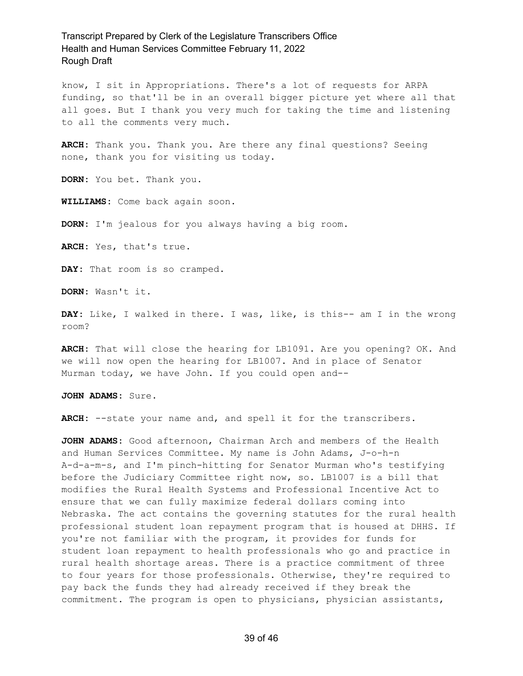know, I sit in Appropriations. There's a lot of requests for ARPA funding, so that'll be in an overall bigger picture yet where all that all goes. But I thank you very much for taking the time and listening to all the comments very much.

**ARCH:** Thank you. Thank you. Are there any final questions? Seeing none, thank you for visiting us today.

**DORN:** You bet. Thank you.

**WILLIAMS:** Come back again soon.

**DORN:** I'm jealous for you always having a big room.

**ARCH:** Yes, that's true.

DAY: That room is so cramped.

**DORN:** Wasn't it.

**DAY:** Like, I walked in there. I was, like, is this-- am I in the wrong room?

**ARCH:** That will close the hearing for LB1091. Are you opening? OK. And we will now open the hearing for LB1007. And in place of Senator Murman today, we have John. If you could open and--

**JOHN ADAMS:** Sure.

**ARCH:** --state your name and, and spell it for the transcribers.

**JOHN ADAMS:** Good afternoon, Chairman Arch and members of the Health and Human Services Committee. My name is John Adams, J-o-h-n A-d-a-m-s, and I'm pinch-hitting for Senator Murman who's testifying before the Judiciary Committee right now, so. LB1007 is a bill that modifies the Rural Health Systems and Professional Incentive Act to ensure that we can fully maximize federal dollars coming into Nebraska. The act contains the governing statutes for the rural health professional student loan repayment program that is housed at DHHS. If you're not familiar with the program, it provides for funds for student loan repayment to health professionals who go and practice in rural health shortage areas. There is a practice commitment of three to four years for those professionals. Otherwise, they're required to pay back the funds they had already received if they break the commitment. The program is open to physicians, physician assistants,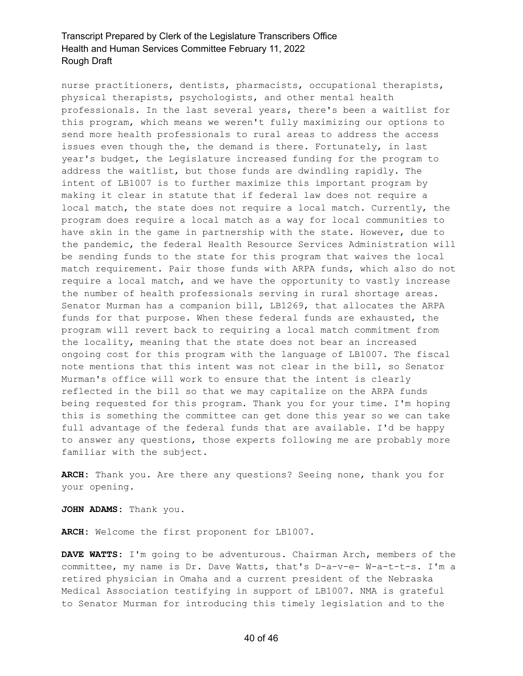nurse practitioners, dentists, pharmacists, occupational therapists, physical therapists, psychologists, and other mental health professionals. In the last several years, there's been a waitlist for this program, which means we weren't fully maximizing our options to send more health professionals to rural areas to address the access issues even though the, the demand is there. Fortunately, in last year's budget, the Legislature increased funding for the program to address the waitlist, but those funds are dwindling rapidly. The intent of LB1007 is to further maximize this important program by making it clear in statute that if federal law does not require a local match, the state does not require a local match. Currently, the program does require a local match as a way for local communities to have skin in the game in partnership with the state. However, due to the pandemic, the federal Health Resource Services Administration will be sending funds to the state for this program that waives the local match requirement. Pair those funds with ARPA funds, which also do not require a local match, and we have the opportunity to vastly increase the number of health professionals serving in rural shortage areas. Senator Murman has a companion bill, LB1269, that allocates the ARPA funds for that purpose. When these federal funds are exhausted, the program will revert back to requiring a local match commitment from the locality, meaning that the state does not bear an increased ongoing cost for this program with the language of LB1007. The fiscal note mentions that this intent was not clear in the bill, so Senator Murman's office will work to ensure that the intent is clearly reflected in the bill so that we may capitalize on the ARPA funds being requested for this program. Thank you for your time. I'm hoping this is something the committee can get done this year so we can take full advantage of the federal funds that are available. I'd be happy to answer any questions, those experts following me are probably more familiar with the subject.

**ARCH:** Thank you. Are there any questions? Seeing none, thank you for your opening.

**JOHN ADAMS:** Thank you.

**ARCH:** Welcome the first proponent for LB1007.

**DAVE WATTS:** I'm going to be adventurous. Chairman Arch, members of the committee, my name is Dr. Dave Watts, that's D-a-v-e- W-a-t-t-s. I'm a retired physician in Omaha and a current president of the Nebraska Medical Association testifying in support of LB1007. NMA is grateful to Senator Murman for introducing this timely legislation and to the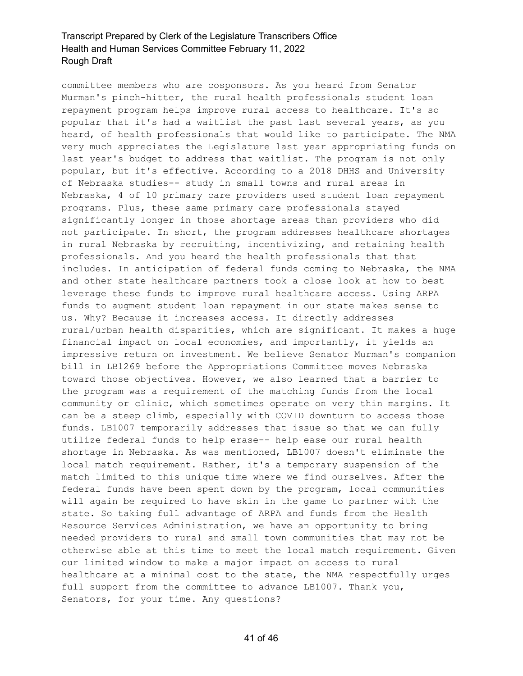committee members who are cosponsors. As you heard from Senator Murman's pinch-hitter, the rural health professionals student loan repayment program helps improve rural access to healthcare. It's so popular that it's had a waitlist the past last several years, as you heard, of health professionals that would like to participate. The NMA very much appreciates the Legislature last year appropriating funds on last year's budget to address that waitlist. The program is not only popular, but it's effective. According to a 2018 DHHS and University of Nebraska studies-- study in small towns and rural areas in Nebraska, 4 of 10 primary care providers used student loan repayment programs. Plus, these same primary care professionals stayed significantly longer in those shortage areas than providers who did not participate. In short, the program addresses healthcare shortages in rural Nebraska by recruiting, incentivizing, and retaining health professionals. And you heard the health professionals that that includes. In anticipation of federal funds coming to Nebraska, the NMA and other state healthcare partners took a close look at how to best leverage these funds to improve rural healthcare access. Using ARPA funds to augment student loan repayment in our state makes sense to us. Why? Because it increases access. It directly addresses rural/urban health disparities, which are significant. It makes a huge financial impact on local economies, and importantly, it yields an impressive return on investment. We believe Senator Murman's companion bill in LB1269 before the Appropriations Committee moves Nebraska toward those objectives. However, we also learned that a barrier to the program was a requirement of the matching funds from the local community or clinic, which sometimes operate on very thin margins. It can be a steep climb, especially with COVID downturn to access those funds. LB1007 temporarily addresses that issue so that we can fully utilize federal funds to help erase-- help ease our rural health shortage in Nebraska. As was mentioned, LB1007 doesn't eliminate the local match requirement. Rather, it's a temporary suspension of the match limited to this unique time where we find ourselves. After the federal funds have been spent down by the program, local communities will again be required to have skin in the game to partner with the state. So taking full advantage of ARPA and funds from the Health Resource Services Administration, we have an opportunity to bring needed providers to rural and small town communities that may not be otherwise able at this time to meet the local match requirement. Given our limited window to make a major impact on access to rural healthcare at a minimal cost to the state, the NMA respectfully urges full support from the committee to advance LB1007. Thank you, Senators, for your time. Any questions?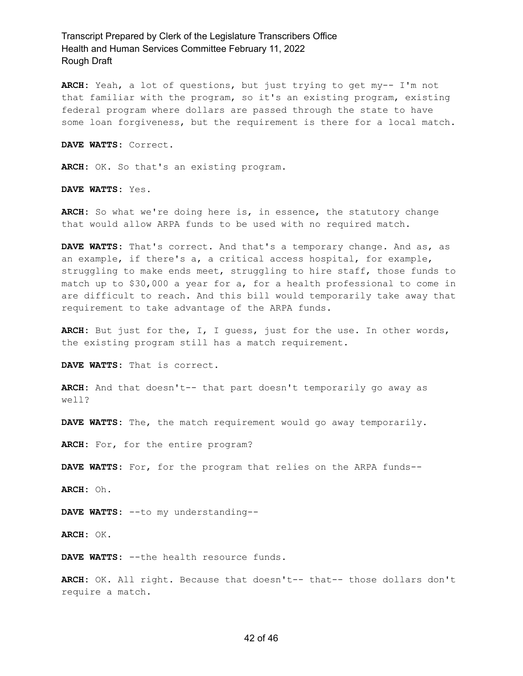**ARCH:** Yeah, a lot of questions, but just trying to get my-- I'm not that familiar with the program, so it's an existing program, existing federal program where dollars are passed through the state to have some loan forgiveness, but the requirement is there for a local match.

**DAVE WATTS:** Correct.

**ARCH:** OK. So that's an existing program.

**DAVE WATTS:** Yes.

**ARCH:** So what we're doing here is, in essence, the statutory change that would allow ARPA funds to be used with no required match.

**DAVE WATTS:** That's correct. And that's a temporary change. And as, as an example, if there's a, a critical access hospital, for example, struggling to make ends meet, struggling to hire staff, those funds to match up to \$30,000 a year for a, for a health professional to come in are difficult to reach. And this bill would temporarily take away that requirement to take advantage of the ARPA funds.

**ARCH:** But just for the, I, I guess, just for the use. In other words, the existing program still has a match requirement.

**DAVE WATTS:** That is correct.

**ARCH:** And that doesn't-- that part doesn't temporarily go away as well?

**DAVE WATTS:** The, the match requirement would go away temporarily.

**ARCH:** For, for the entire program?

**DAVE WATTS:** For, for the program that relies on the ARPA funds--

**ARCH:** Oh.

**DAVE WATTS:** --to my understanding--

**ARCH:** OK.

**DAVE WATTS:** --the health resource funds.

**ARCH:** OK. All right. Because that doesn't-- that-- those dollars don't require a match.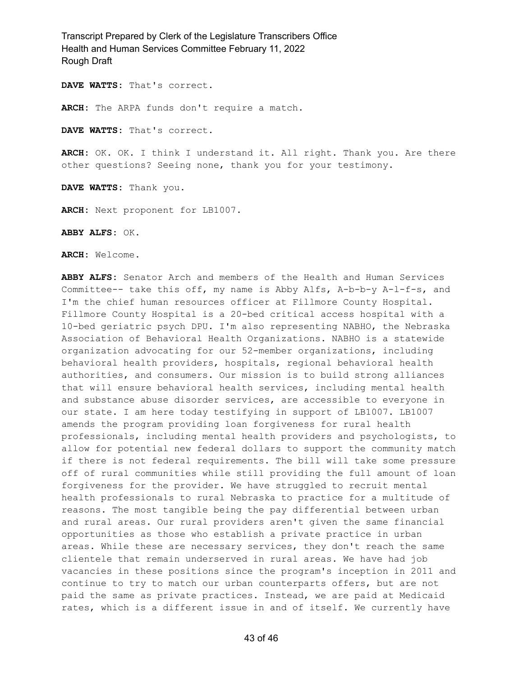**DAVE WATTS:** That's correct.

**ARCH:** The ARPA funds don't require a match.

**DAVE WATTS:** That's correct.

**ARCH:** OK. OK. I think I understand it. All right. Thank you. Are there other questions? Seeing none, thank you for your testimony.

**DAVE WATTS:** Thank you.

**ARCH:** Next proponent for LB1007.

**ABBY ALFS:** OK.

**ARCH:** Welcome.

**ABBY ALFS:** Senator Arch and members of the Health and Human Services Committee-- take this off, my name is Abby Alfs, A-b-b-y A-l-f-s, and I'm the chief human resources officer at Fillmore County Hospital. Fillmore County Hospital is a 20-bed critical access hospital with a 10-bed geriatric psych DPU. I'm also representing NABHO, the Nebraska Association of Behavioral Health Organizations. NABHO is a statewide organization advocating for our 52-member organizations, including behavioral health providers, hospitals, regional behavioral health authorities, and consumers. Our mission is to build strong alliances that will ensure behavioral health services, including mental health and substance abuse disorder services, are accessible to everyone in our state. I am here today testifying in support of LB1007. LB1007 amends the program providing loan forgiveness for rural health professionals, including mental health providers and psychologists, to allow for potential new federal dollars to support the community match if there is not federal requirements. The bill will take some pressure off of rural communities while still providing the full amount of loan forgiveness for the provider. We have struggled to recruit mental health professionals to rural Nebraska to practice for a multitude of reasons. The most tangible being the pay differential between urban and rural areas. Our rural providers aren't given the same financial opportunities as those who establish a private practice in urban areas. While these are necessary services, they don't reach the same clientele that remain underserved in rural areas. We have had job vacancies in these positions since the program's inception in 2011 and continue to try to match our urban counterparts offers, but are not paid the same as private practices. Instead, we are paid at Medicaid rates, which is a different issue in and of itself. We currently have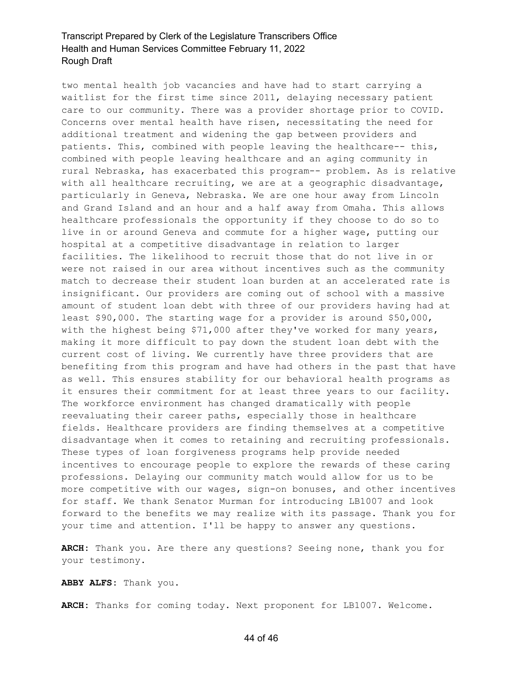two mental health job vacancies and have had to start carrying a waitlist for the first time since 2011, delaying necessary patient care to our community. There was a provider shortage prior to COVID. Concerns over mental health have risen, necessitating the need for additional treatment and widening the gap between providers and patients. This, combined with people leaving the healthcare-- this, combined with people leaving healthcare and an aging community in rural Nebraska, has exacerbated this program-- problem. As is relative with all healthcare recruiting, we are at a geographic disadvantage, particularly in Geneva, Nebraska. We are one hour away from Lincoln and Grand Island and an hour and a half away from Omaha. This allows healthcare professionals the opportunity if they choose to do so to live in or around Geneva and commute for a higher wage, putting our hospital at a competitive disadvantage in relation to larger facilities. The likelihood to recruit those that do not live in or were not raised in our area without incentives such as the community match to decrease their student loan burden at an accelerated rate is insignificant. Our providers are coming out of school with a massive amount of student loan debt with three of our providers having had at least \$90,000. The starting wage for a provider is around \$50,000, with the highest being \$71,000 after they've worked for many years, making it more difficult to pay down the student loan debt with the current cost of living. We currently have three providers that are benefiting from this program and have had others in the past that have as well. This ensures stability for our behavioral health programs as it ensures their commitment for at least three years to our facility. The workforce environment has changed dramatically with people reevaluating their career paths, especially those in healthcare fields. Healthcare providers are finding themselves at a competitive disadvantage when it comes to retaining and recruiting professionals. These types of loan forgiveness programs help provide needed incentives to encourage people to explore the rewards of these caring professions. Delaying our community match would allow for us to be more competitive with our wages, sign-on bonuses, and other incentives for staff. We thank Senator Murman for introducing LB1007 and look forward to the benefits we may realize with its passage. Thank you for your time and attention. I'll be happy to answer any questions.

**ARCH:** Thank you. Are there any questions? Seeing none, thank you for your testimony.

**ABBY ALFS:** Thank you.

**ARCH:** Thanks for coming today. Next proponent for LB1007. Welcome.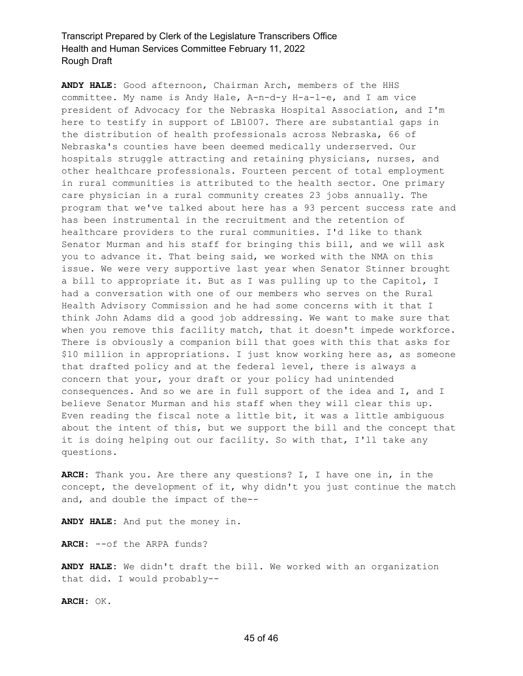**ANDY HALE:** Good afternoon, Chairman Arch, members of the HHS committee. My name is Andy Hale, A-n-d-y H-a-l-e, and I am vice president of Advocacy for the Nebraska Hospital Association, and I'm here to testify in support of LB1007. There are substantial gaps in the distribution of health professionals across Nebraska, 66 of Nebraska's counties have been deemed medically underserved. Our hospitals struggle attracting and retaining physicians, nurses, and other healthcare professionals. Fourteen percent of total employment in rural communities is attributed to the health sector. One primary care physician in a rural community creates 23 jobs annually. The program that we've talked about here has a 93 percent success rate and has been instrumental in the recruitment and the retention of healthcare providers to the rural communities. I'd like to thank Senator Murman and his staff for bringing this bill, and we will ask you to advance it. That being said, we worked with the NMA on this issue. We were very supportive last year when Senator Stinner brought a bill to appropriate it. But as I was pulling up to the Capitol, I had a conversation with one of our members who serves on the Rural Health Advisory Commission and he had some concerns with it that I think John Adams did a good job addressing. We want to make sure that when you remove this facility match, that it doesn't impede workforce. There is obviously a companion bill that goes with this that asks for \$10 million in appropriations. I just know working here as, as someone that drafted policy and at the federal level, there is always a concern that your, your draft or your policy had unintended consequences. And so we are in full support of the idea and I, and I believe Senator Murman and his staff when they will clear this up. Even reading the fiscal note a little bit, it was a little ambiguous about the intent of this, but we support the bill and the concept that it is doing helping out our facility. So with that, I'll take any questions.

**ARCH:** Thank you. Are there any questions? I, I have one in, in the concept, the development of it, why didn't you just continue the match and, and double the impact of the--

**ANDY HALE:** And put the money in.

**ARCH:** --of the ARPA funds?

**ANDY HALE:** We didn't draft the bill. We worked with an organization that did. I would probably--

**ARCH:** OK.